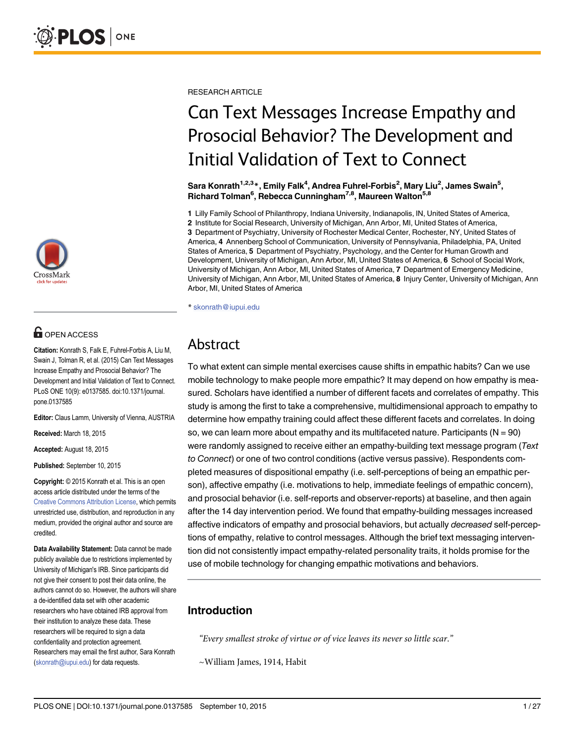

## **OPEN ACCESS**

Citation: Konrath S, Falk E, Fuhrel-Forbis A, Liu M, Swain J, Tolman R, et al. (2015) Can Text Messages Increase Empathy and Prosocial Behavior? The Development and Initial Validation of Text to Connect. PLoS ONE 10(9): e0137585. doi:10.1371/journal. pone.0137585

Editor: Claus Lamm, University of Vienna, AUSTRIA

Received: March 18, 2015

Accepted: August 18, 2015

Published: September 10, 2015

Copyright: © 2015 Konrath et al. This is an open access article distributed under the terms of the [Creative Commons Attribution License,](http://creativecommons.org/licenses/by/4.0/) which permits unrestricted use, distribution, and reproduction in any medium, provided the original author and source are credited.

Data Availability Statement: Data cannot be made publicly available due to restrictions implemented by University of Michigan's IRB. Since participants did not give their consent to post their data online, the authors cannot do so. However, the authors will share a de-identified data set with other academic researchers who have obtained IRB approval from their institution to analyze these data. These researchers will be required to sign a data confidentiality and protection agreement. Researchers may email the first author, Sara Konrath (skonrath@iupui.edu) for data requests.

RESEARCH ARTICLE

# Can Text Messages Increase Empathy and Prosocial Behavior? The Development and Initial Validation of Text to Connect

Sara Konrath $^{1,2,3\, *}$ , Emily Falk $^4$ , Andrea Fuhrel-Forbis $^2$ , Mary Liu $^2$ , James Swain $^5$ , Richard Tolman<sup>6</sup>, Rebecca Cunningham<sup>7,8</sup>, Maureen Walton<sup>5,8</sup>

1 Lilly Family School of Philanthropy, Indiana University, Indianapolis, IN, United States of America, 2 Institute for Social Research, University of Michigan, Ann Arbor, MI, United States of America, 3 Department of Psychiatry, University of Rochester Medical Center, Rochester, NY, United States of America, 4 Annenberg School of Communication, University of Pennsylvania, Philadelphia, PA, United States of America, 5 Department of Psychiatry, Psychology, and the Center for Human Growth and Development, University of Michigan, Ann Arbor, MI, United States of America, 6 School of Social Work, University of Michigan, Ann Arbor, MI, United States of America, 7 Department of Emergency Medicine, University of Michigan, Ann Arbor, MI, United States of America, 8 Injury Center, University of Michigan, Ann Arbor, MI, United States of America

\* skonrath@iupui.edu

## Abstract

To what extent can simple mental exercises cause shifts in empathic habits? Can we use mobile technology to make people more empathic? It may depend on how empathy is measured. Scholars have identified a number of different facets and correlates of empathy. This study is among the first to take a comprehensive, multidimensional approach to empathy to determine how empathy training could affect these different facets and correlates. In doing so, we can learn more about empathy and its multifaceted nature. Participants  $(N = 90)$ were randomly assigned to receive either an empathy-building text message program (Text to Connect) or one of two control conditions (active versus passive). Respondents completed measures of dispositional empathy (i.e. self-perceptions of being an empathic person), affective empathy (i.e. motivations to help, immediate feelings of empathic concern), and prosocial behavior (i.e. self-reports and observer-reports) at baseline, and then again after the 14 day intervention period. We found that empathy-building messages increased affective indicators of empathy and prosocial behaviors, but actually decreased self-perceptions of empathy, relative to control messages. Although the brief text messaging intervention did not consistently impact empathy-related personality traits, it holds promise for the use of mobile technology for changing empathic motivations and behaviors.

### Introduction

"Every smallest stroke of virtue or of vice leaves its never so little scar."

~William James, 1914, Habit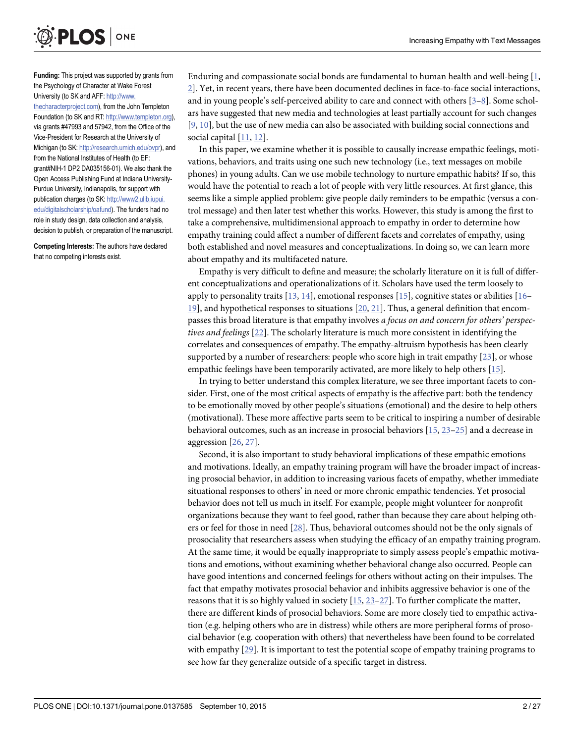<span id="page-1-0"></span>

Funding: This project was supported by grants from the Psychology of Character at Wake Forest University (to SK and AFF: [http://www.](http://www.thecharacterproject.com) [thecharacterproject.com](http://www.thecharacterproject.com)), from the John Templeton Foundation (to SK and RT: [http://www.templeton.org\)](http://www.templeton.org), via grants #47993 and 57942, from the Office of the Vice-President for Research at the University of Michigan (to SK: [http://research.umich.edu/ovpr\)](http://research.umich.edu/ovpr), and from the National Institutes of Health (to EF: grant#NIH-1 DP2 DA035156-01). We also thank the Open Access Publishing Fund at Indiana University-Purdue University, Indianapolis, for support with publication charges (to SK: [http://www2.ulib.iupui.](http://www2.ulib.iupui.edu/digitalscholarship/oafund) [edu/digitalscholarship/oafund](http://www2.ulib.iupui.edu/digitalscholarship/oafund)). The funders had no role in study design, data collection and analysis, decision to publish, or preparation of the manuscript.

Competing Interests: The authors have declared that no competing interests exist.

Enduring and compassionate social bonds are fundamental to human health and well-being [[1](#page-20-0), [2\]](#page-20-0). Yet, in recent years, there have been documented declines in face-to-face social interactions, and in young people's self-perceived ability to care and connect with others [[3](#page-20-0)–[8](#page-20-0)]. Some scholars have suggested that new media and technologies at least partially account for such changes [\[9](#page-20-0), [10](#page-20-0)], but the use of new media can also be associated with building social connections and social capital  $[11, 12]$  $[11, 12]$  $[11, 12]$  $[11, 12]$ .

In this paper, we examine whether it is possible to causally increase empathic feelings, motivations, behaviors, and traits using one such new technology (i.e., text messages on mobile phones) in young adults. Can we use mobile technology to nurture empathic habits? If so, this would have the potential to reach a lot of people with very little resources. At first glance, this seems like a simple applied problem: give people daily reminders to be empathic (versus a control message) and then later test whether this works. However, this study is among the first to take a comprehensive, multidimensional approach to empathy in order to determine how empathy training could affect a number of different facets and correlates of empathy, using both established and novel measures and conceptualizations. In doing so, we can learn more about empathy and its multifaceted nature.

Empathy is very difficult to define and measure; the scholarly literature on it is full of different conceptualizations and operationalizations of it. Scholars have used the term loosely to apply to personality traits  $[13, 14]$  $[13, 14]$  $[13, 14]$  $[13, 14]$  $[13, 14]$ , emotional responses  $[15]$  $[15]$  $[15]$ , cognitive states or abilities  $[16 [16 [16-$ [19\]](#page-21-0), and hypothetical responses to situations [\[20,](#page-21-0) [21\]](#page-21-0). Thus, a general definition that encompasses this broad literature is that empathy involves a focus on and concern for others' perspectives and feelings [\[22\]](#page-21-0). The scholarly literature is much more consistent in identifying the correlates and consequences of empathy. The empathy-altruism hypothesis has been clearly supported by a number of researchers: people who score high in trait empathy [\[23\]](#page-21-0), or whose empathic feelings have been temporarily activated, are more likely to help others [\[15\]](#page-21-0).

In trying to better understand this complex literature, we see three important facets to consider. First, one of the most critical aspects of empathy is the affective part: both the tendency to be emotionally moved by other people's situations (emotional) and the desire to help others (motivational). These more affective parts seem to be critical to inspiring a number of desirable behavioral outcomes, such as an increase in prosocial behaviors [\[15,](#page-21-0) [23](#page-21-0)–[25\]](#page-21-0) and a decrease in aggression [\[26,](#page-21-0) [27\]](#page-21-0).

Second, it is also important to study behavioral implications of these empathic emotions and motivations. Ideally, an empathy training program will have the broader impact of increasing prosocial behavior, in addition to increasing various facets of empathy, whether immediate situational responses to others' in need or more chronic empathic tendencies. Yet prosocial behavior does not tell us much in itself. For example, people might volunteer for nonprofit organizations because they want to feel good, rather than because they care about helping others or feel for those in need [\[28](#page-21-0)]. Thus, behavioral outcomes should not be the only signals of prosociality that researchers assess when studying the efficacy of an empathy training program. At the same time, it would be equally inappropriate to simply assess people's empathic motivations and emotions, without examining whether behavioral change also occurred. People can have good intentions and concerned feelings for others without acting on their impulses. The fact that empathy motivates prosocial behavior and inhibits aggressive behavior is one of the reasons that it is so highly valued in society  $[15, 23-27]$  $[15, 23-27]$  $[15, 23-27]$  $[15, 23-27]$  $[15, 23-27]$  $[15, 23-27]$ . To further complicate the matter, there are different kinds of prosocial behaviors. Some are more closely tied to empathic activation (e.g. helping others who are in distress) while others are more peripheral forms of prosocial behavior (e.g. cooperation with others) that nevertheless have been found to be correlated with empathy  $[29]$ . It is important to test the potential scope of empathy training programs to see how far they generalize outside of a specific target in distress.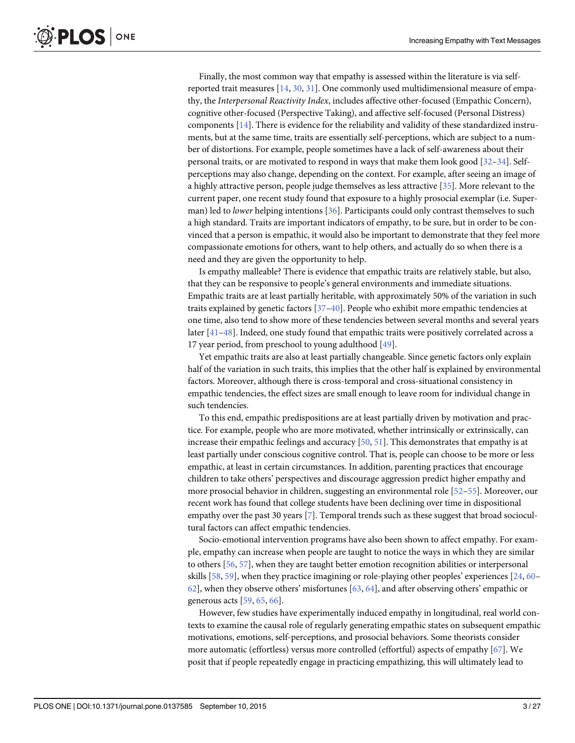<span id="page-2-0"></span>Finally, the most common way that empathy is assessed within the literature is via selfreported trait measures  $[14, 30, 31]$  $[14, 30, 31]$  $[14, 30, 31]$  $[14, 30, 31]$  $[14, 30, 31]$  $[14, 30, 31]$  $[14, 30, 31]$ . One commonly used multidimensional measure of empathy, the Interpersonal Reactivity Index, includes affective other-focused (Empathic Concern), cognitive other-focused (Perspective Taking), and affective self-focused (Personal Distress) components [[14](#page-21-0)]. There is evidence for the reliability and validity of these standardized instruments, but at the same time, traits are essentially self-perceptions, which are subject to a number of distortions. For example, people sometimes have a lack of self-awareness about their personal traits, or are motivated to respond in ways that make them look good [[32](#page-21-0)–[34](#page-21-0)]. Selfperceptions may also change, depending on the context. For example, after seeing an image of a highly attractive person, people judge themselves as less attractive [\[35\]](#page-21-0). More relevant to the current paper, one recent study found that exposure to a highly prosocial exemplar (i.e. Superman) led to *lower* helping intentions  $[36]$  $[36]$ . Participants could only contrast themselves to such a high standard. Traits are important indicators of empathy, to be sure, but in order to be convinced that a person is empathic, it would also be important to demonstrate that they feel more compassionate emotions for others, want to help others, and actually do so when there is a need and they are given the opportunity to help.

Is empathy malleable? There is evidence that empathic traits are relatively stable, but also, that they can be responsive to people's general environments and immediate situations. Empathic traits are at least partially heritable, with approximately 50% of the variation in such traits explained by genetic factors  $[37-40]$  $[37-40]$  $[37-40]$  $[37-40]$ . People who exhibit more empathic tendencies at one time, also tend to show more of these tendencies between several months and several years later [\[41](#page-22-0)–[48\]](#page-22-0). Indeed, one study found that empathic traits were positively correlated across a 17 year period, from preschool to young adulthood [[49](#page-22-0)].

Yet empathic traits are also at least partially changeable. Since genetic factors only explain half of the variation in such traits, this implies that the other half is explained by environmental factors. Moreover, although there is cross-temporal and cross-situational consistency in empathic tendencies, the effect sizes are small enough to leave room for individual change in such tendencies.

To this end, empathic predispositions are at least partially driven by motivation and practice. For example, people who are more motivated, whether intrinsically or extrinsically, can increase their empathic feelings and accuracy  $[50, 51]$  $[50, 51]$  $[50, 51]$ . This demonstrates that empathy is at least partially under conscious cognitive control. That is, people can choose to be more or less empathic, at least in certain circumstances. In addition, parenting practices that encourage children to take others' perspectives and discourage aggression predict higher empathy and more prosocial behavior in children, suggesting an environmental role [\[52](#page-22-0)–[55\]](#page-22-0). Moreover, our recent work has found that college students have been declining over time in dispositional empathy over the past 30 years [[7\]](#page-20-0). Temporal trends such as these suggest that broad sociocultural factors can affect empathic tendencies.

Socio-emotional intervention programs have also been shown to affect empathy. For example, empathy can increase when people are taught to notice the ways in which they are similar to others [[56](#page-22-0), [57](#page-22-0)], when they are taught better emotion recognition abilities or interpersonal skills [\[58](#page-22-0), [59](#page-22-0)], when they practice imagining or role-playing other peoples' experiences [[24](#page-21-0), [60](#page-22-0)–  $62$ , when they observe others' misfortunes  $[63, 64]$  $[63, 64]$  $[63, 64]$ , and after observing others' empathic or generous acts [[59](#page-22-0), [65,](#page-22-0) [66\]](#page-23-0).

However, few studies have experimentally induced empathy in longitudinal, real world contexts to examine the causal role of regularly generating empathic states on subsequent empathic motivations, emotions, self-perceptions, and prosocial behaviors. Some theorists consider more automatic (effortless) versus more controlled (effortful) aspects of empathy [[67](#page-23-0)]. We posit that if people repeatedly engage in practicing empathizing, this will ultimately lead to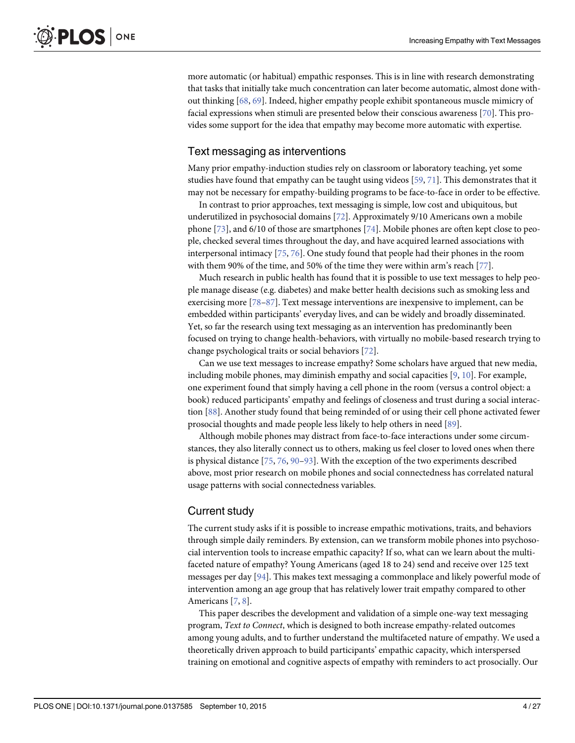<span id="page-3-0"></span>more automatic (or habitual) empathic responses. This is in line with research demonstrating that tasks that initially take much concentration can later become automatic, almost done without thinking [[68,](#page-23-0) [69\]](#page-23-0). Indeed, higher empathy people exhibit spontaneous muscle mimicry of facial expressions when stimuli are presented below their conscious awareness [[70\]](#page-23-0). This provides some support for the idea that empathy may become more automatic with expertise.

#### Text messaging as interventions

Many prior empathy-induction studies rely on classroom or laboratory teaching, yet some studies have found that empathy can be taught using videos  $[59, 71]$  $[59, 71]$  $[59, 71]$ . This demonstrates that it may not be necessary for empathy-building programs to be face-to-face in order to be effective.

In contrast to prior approaches, text messaging is simple, low cost and ubiquitous, but underutilized in psychosocial domains [\[72\]](#page-23-0). Approximately 9/10 Americans own a mobile phone [[73](#page-23-0)], and 6/10 of those are smartphones [\[74\]](#page-23-0). Mobile phones are often kept close to people, checked several times throughout the day, and have acquired learned associations with interpersonal intimacy [[75](#page-23-0), [76](#page-23-0)]. One study found that people had their phones in the room with them 90% of the time, and 50% of the time they were within arm's reach [\[77](#page-23-0)].

Much research in public health has found that it is possible to use text messages to help people manage disease (e.g. diabetes) and make better health decisions such as smoking less and exercising more [\[78](#page-23-0)–[87\]](#page-23-0). Text message interventions are inexpensive to implement, can be embedded within participants' everyday lives, and can be widely and broadly disseminated. Yet, so far the research using text messaging as an intervention has predominantly been focused on trying to change health-behaviors, with virtually no mobile-based research trying to change psychological traits or social behaviors [\[72\]](#page-23-0).

Can we use text messages to increase empathy? Some scholars have argued that new media, including mobile phones, may diminish empathy and social capacities [[9](#page-20-0), [10](#page-20-0)]. For example, one experiment found that simply having a cell phone in the room (versus a control object: a book) reduced participants' empathy and feelings of closeness and trust during a social interaction [[88](#page-23-0)]. Another study found that being reminded of or using their cell phone activated fewer prosocial thoughts and made people less likely to help others in need [[89](#page-23-0)].

Although mobile phones may distract from face-to-face interactions under some circumstances, they also literally connect us to others, making us feel closer to loved ones when there is physical distance [\[75,](#page-23-0) [76,](#page-23-0) [90](#page-23-0)–[93\]](#page-24-0). With the exception of the two experiments described above, most prior research on mobile phones and social connectedness has correlated natural usage patterns with social connectedness variables.

#### Current study

The current study asks if it is possible to increase empathic motivations, traits, and behaviors through simple daily reminders. By extension, can we transform mobile phones into psychosocial intervention tools to increase empathic capacity? If so, what can we learn about the multifaceted nature of empathy? Young Americans (aged 18 to 24) send and receive over 125 text messages per day [[94](#page-24-0)]. This makes text messaging a commonplace and likely powerful mode of intervention among an age group that has relatively lower trait empathy compared to other Americans [[7](#page-20-0), [8\]](#page-20-0).

This paper describes the development and validation of a simple one-way text messaging program, Text to Connect, which is designed to both increase empathy-related outcomes among young adults, and to further understand the multifaceted nature of empathy. We used a theoretically driven approach to build participants' empathic capacity, which interspersed training on emotional and cognitive aspects of empathy with reminders to act prosocially. Our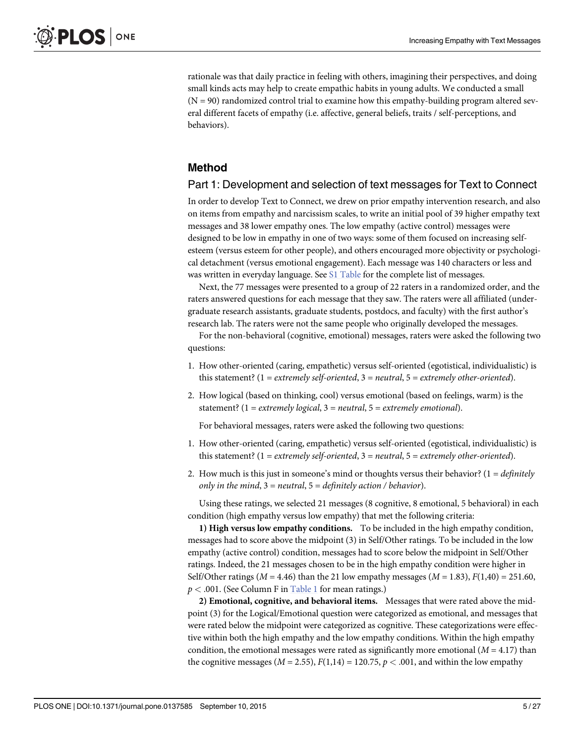<span id="page-4-0"></span>rationale was that daily practice in feeling with others, imagining their perspectives, and doing small kinds acts may help to create empathic habits in young adults. We conducted a small  $(N = 90)$  randomized control trial to examine how this empathy-building program altered several different facets of empathy (i.e. affective, general beliefs, traits / self-perceptions, and behaviors).

#### Method

#### Part 1: Development and selection of text messages for Text to Connect

In order to develop Text to Connect, we drew on prior empathy intervention research, and also on items from empathy and narcissism scales, to write an initial pool of 39 higher empathy text messages and 38 lower empathy ones. The low empathy (active control) messages were designed to be low in empathy in one of two ways: some of them focused on increasing selfesteem (versus esteem for other people), and others encouraged more objectivity or psychological detachment (versus emotional engagement). Each message was 140 characters or less and was written in everyday language. See [S1 Table](#page-20-0) for the complete list of messages.

Next, the 77 messages were presented to a group of 22 raters in a randomized order, and the raters answered questions for each message that they saw. The raters were all affiliated (undergraduate research assistants, graduate students, postdocs, and faculty) with the first author's research lab. The raters were not the same people who originally developed the messages.

For the non-behavioral (cognitive, emotional) messages, raters were asked the following two questions:

- 1. How other-oriented (caring, empathetic) versus self-oriented (egotistical, individualistic) is this statement? (1 = extremely self-oriented, 3 = neutral, 5 = extremely other-oriented).
- 2. How logical (based on thinking, cool) versus emotional (based on feelings, warm) is the statement? (1 = extremely logical, 3 = neutral, 5 = extremely emotional).

For behavioral messages, raters were asked the following two questions:

- 1. How other-oriented (caring, empathetic) versus self-oriented (egotistical, individualistic) is this statement? (1 = extremely self-oriented, 3 = neutral, 5 = extremely other-oriented).
- 2. How much is this just in someone's mind or thoughts versus their behavior?  $(1 = \text{definitely})$ only in the mind,  $3 =$  neutral,  $5 =$  definitely action / behavior).

Using these ratings, we selected 21 messages (8 cognitive, 8 emotional, 5 behavioral) in each condition (high empathy versus low empathy) that met the following criteria:

1) High versus low empathy conditions. To be included in the high empathy condition, messages had to score above the midpoint (3) in Self/Other ratings. To be included in the low empathy (active control) condition, messages had to score below the midpoint in Self/Other ratings. Indeed, the 21 messages chosen to be in the high empathy condition were higher in Self/Other ratings ( $M = 4.46$ ) than the 21 low empathy messages ( $M = 1.83$ ),  $F(1,40) = 251.60$ ,  $p < .001$ . (See Column F in [Table 1](#page-5-0) for mean ratings.)

2) Emotional, cognitive, and behavioral items. Messages that were rated above the midpoint (3) for the Logical/Emotional question were categorized as emotional, and messages that were rated below the midpoint were categorized as cognitive. These categorizations were effective within both the high empathy and the low empathy conditions. Within the high empathy condition, the emotional messages were rated as significantly more emotional  $(M = 4.17)$  than the cognitive messages ( $M = 2.55$ ),  $F(1,14) = 120.75$ ,  $p < .001$ , and within the low empathy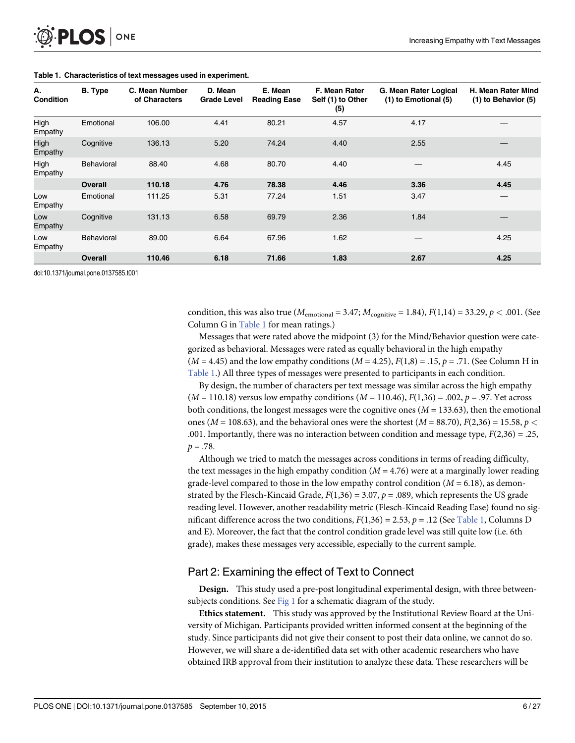<span id="page-5-0"></span>

| А.<br><b>Condition</b> | <b>B.</b> Type | C. Mean Number<br>of Characters | D. Mean<br><b>Grade Level</b> | E. Mean<br><b>Reading Ease</b> | F. Mean Rater<br>Self (1) to Other<br>(5) | G. Mean Rater Logical<br>(1) to Emotional (5) | H. Mean Rater Mind<br>(1) to Behavior (5) |
|------------------------|----------------|---------------------------------|-------------------------------|--------------------------------|-------------------------------------------|-----------------------------------------------|-------------------------------------------|
| High<br>Empathy        | Emotional      | 106.00                          | 4.41                          | 80.21                          | 4.57                                      | 4.17                                          |                                           |
| High<br>Empathy        | Cognitive      | 136.13                          | 5.20                          | 74.24                          | 4.40                                      | 2.55                                          |                                           |
| High<br>Empathy        | Behavioral     | 88.40                           | 4.68                          | 80.70                          | 4.40                                      |                                               | 4.45                                      |
|                        | <b>Overall</b> | 110.18                          | 4.76                          | 78.38                          | 4.46                                      | 3.36                                          | 4.45                                      |
| Low<br>Empathy         | Emotional      | 111.25                          | 5.31                          | 77.24                          | 1.51                                      | 3.47                                          |                                           |
| Low<br>Empathy         | Cognitive      | 131.13                          | 6.58                          | 69.79                          | 2.36                                      | 1.84                                          |                                           |
| Low<br>Empathy         | Behavioral     | 89.00                           | 6.64                          | 67.96                          | 1.62                                      |                                               | 4.25                                      |
|                        | <b>Overall</b> | 110.46                          | 6.18                          | 71.66                          | 1.83                                      | 2.67                                          | 4.25                                      |

#### [Table 1.](#page-4-0) Characteristics of text messages used in experiment.

doi:10.1371/journal.pone.0137585.t001

condition, this was also true ( $M_{\text{emotional}} = 3.47$ ;  $M_{\text{cognitive}} = 1.84$ ),  $F(1,14) = 33.29$ ,  $p < .001$ . (See Column G in Table 1 for mean ratings.)

Messages that were rated above the midpoint (3) for the Mind/Behavior question were categorized as behavioral. Messages were rated as equally behavioral in the high empathy  $(M = 4.45)$  and the low empathy conditions  $(M = 4.25)$ ,  $F(1,8) = .15$ ,  $p = .71$ . (See Column H in Table 1.) All three types of messages were presented to participants in each condition.

By design, the number of characters per text message was similar across the high empathy  $(M = 110.18)$  versus low empathy conditions  $(M = 110.46)$ ,  $F(1,36) = .002$ ,  $p = .97$ . Yet across both conditions, the longest messages were the cognitive ones ( $M = 133.63$ ), then the emotional ones ( $M = 108.63$ ), and the behavioral ones were the shortest ( $M = 88.70$ ),  $F(2,36) = 15.58$ ,  $p <$ .001. Importantly, there was no interaction between condition and message type,  $F(2,36) = .25$ ,  $p = .78$ .

Although we tried to match the messages across conditions in terms of reading difficulty, the text messages in the high empathy condition  $(M = 4.76)$  were at a marginally lower reading grade-level compared to those in the low empathy control condition  $(M = 6.18)$ , as demonstrated by the Flesch-Kincaid Grade,  $F(1,36) = 3.07$ ,  $p = .089$ , which represents the US grade reading level. However, another readability metric (Flesch-Kincaid Reading Ease) found no significant difference across the two conditions,  $F(1,36) = 2.53$ ,  $p = .12$  (See Table 1, Columns D and E). Moreover, the fact that the control condition grade level was still quite low (i.e. 6th grade), makes these messages very accessible, especially to the current sample.

#### Part 2: Examining the effect of Text to Connect

Design. This study used a pre-post longitudinal experimental design, with three betweensubjects conditions. See  $Fig 1$  for a schematic diagram of the study.

Ethics statement. This study was approved by the Institutional Review Board at the University of Michigan. Participants provided written informed consent at the beginning of the study. Since participants did not give their consent to post their data online, we cannot do so. However, we will share a de-identified data set with other academic researchers who have obtained IRB approval from their institution to analyze these data. These researchers will be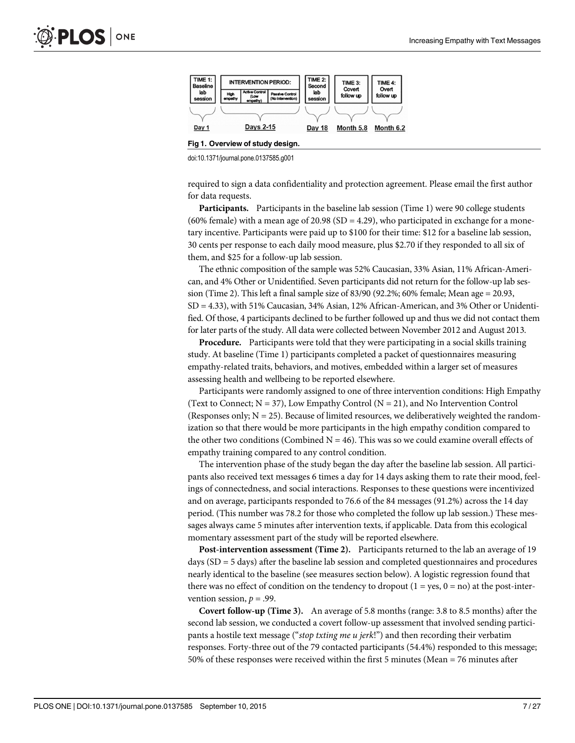<span id="page-6-0"></span>

[Fig 1. O](#page-5-0)verview of study design.

doi:10.1371/journal.pone.0137585.g001

required to sign a data confidentiality and protection agreement. Please email the first author for data requests.

Participants. Participants in the baseline lab session (Time 1) were 90 college students (60% female) with a mean age of 20.98 (SD = 4.29), who participated in exchange for a monetary incentive. Participants were paid up to \$100 for their time: \$12 for a baseline lab session, 30 cents per response to each daily mood measure, plus \$2.70 if they responded to all six of them, and \$25 for a follow-up lab session.

The ethnic composition of the sample was 52% Caucasian, 33% Asian, 11% African-American, and 4% Other or Unidentified. Seven participants did not return for the follow-up lab session (Time 2). This left a final sample size of 83/90 (92.2%; 60% female; Mean age = 20.93, SD = 4.33), with 51% Caucasian, 34% Asian, 12% African-American, and 3% Other or Unidentified. Of those, 4 participants declined to be further followed up and thus we did not contact them for later parts of the study. All data were collected between November 2012 and August 2013.

Procedure. Participants were told that they were participating in a social skills training study. At baseline (Time 1) participants completed a packet of questionnaires measuring empathy-related traits, behaviors, and motives, embedded within a larger set of measures assessing health and wellbeing to be reported elsewhere.

Participants were randomly assigned to one of three intervention conditions: High Empathy (Text to Connect;  $N = 37$ ), Low Empathy Control ( $N = 21$ ), and No Intervention Control (Responses only;  $N = 25$ ). Because of limited resources, we deliberatively weighted the randomization so that there would be more participants in the high empathy condition compared to the other two conditions (Combined  $N = 46$ ). This was so we could examine overall effects of empathy training compared to any control condition.

The intervention phase of the study began the day after the baseline lab session. All participants also received text messages 6 times a day for 14 days asking them to rate their mood, feelings of connectedness, and social interactions. Responses to these questions were incentivized and on average, participants responded to 76.6 of the 84 messages (91.2%) across the 14 day period. (This number was 78.2 for those who completed the follow up lab session.) These messages always came 5 minutes after intervention texts, if applicable. Data from this ecological momentary assessment part of the study will be reported elsewhere.

Post-intervention assessment (Time 2). Participants returned to the lab an average of 19 days (SD = 5 days) after the baseline lab session and completed questionnaires and procedures nearly identical to the baseline (see measures section below). A logistic regression found that there was no effect of condition on the tendency to dropout  $(1 = yes, 0 = no)$  at the post-intervention session,  $p = .99$ .

Covert follow-up (Time 3). An average of 5.8 months (range: 3.8 to 8.5 months) after the second lab session, we conducted a covert follow-up assessment that involved sending participants a hostile text message ("stop txting me u jerk!") and then recording their verbatim responses. Forty-three out of the 79 contacted participants (54.4%) responded to this message; 50% of these responses were received within the first 5 minutes (Mean = 76 minutes after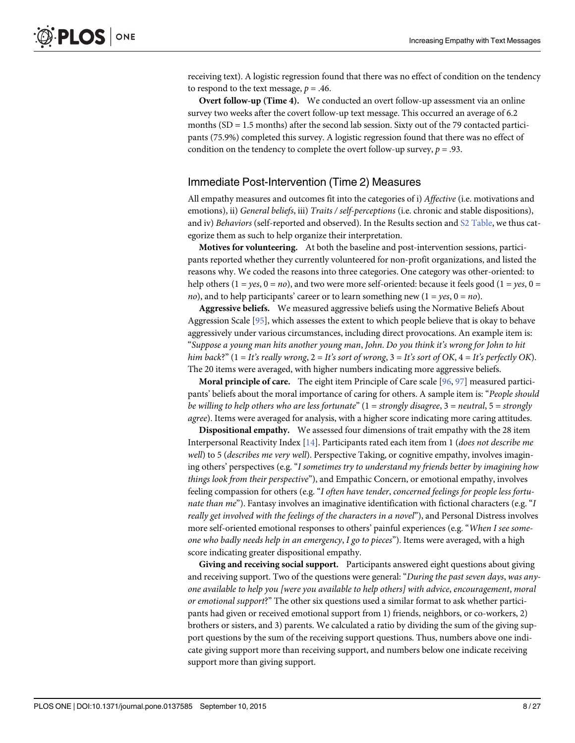<span id="page-7-0"></span>receiving text). A logistic regression found that there was no effect of condition on the tendency to respond to the text message,  $p = .46$ .

Overt follow-up (Time 4). We conducted an overt follow-up assessment via an online survey two weeks after the covert follow-up text message. This occurred an average of 6.2 months  $(SD = 1.5 \text{ months})$  after the second lab session. Sixty out of the 79 contacted participants (75.9%) completed this survey. A logistic regression found that there was no effect of condition on the tendency to complete the overt follow-up survey,  $p = .93$ .

#### Immediate Post-Intervention (Time 2) Measures

All empathy measures and outcomes fit into the categories of i) Affective (i.e. motivations and emotions), ii) General beliefs, iii) Traits / self-perceptions (i.e. chronic and stable dispositions), and iv) Behaviors (self-reported and observed). In the Results section and [S2 Table](#page-20-0), we thus categorize them as such to help organize their interpretation.

Motives for volunteering. At both the baseline and post-intervention sessions, participants reported whether they currently volunteered for non-profit organizations, and listed the reasons why. We coded the reasons into three categories. One category was other-oriented: to help others (1 = yes, 0 = no), and two were more self-oriented: because it feels good (1 = yes, 0 = no), and to help participants' career or to learn something new  $(1 = yes, 0 = no)$ .

Aggressive beliefs. We measured aggressive beliefs using the Normative Beliefs About Aggression Scale [[95\]](#page-24-0), which assesses the extent to which people believe that is okay to behave aggressively under various circumstances, including direct provocations. An example item is: "Suppose a young man hits another young man, John. Do you think it's wrong for John to hit him back?" (1 = It's really wrong, 2 = It's sort of wrong, 3 = It's sort of OK, 4 = It's perfectly OK). The 20 items were averaged, with higher numbers indicating more aggressive beliefs.

**Moral principle of care.** The eight item Principle of Care scale  $[96, 97]$  $[96, 97]$  $[96, 97]$  $[96, 97]$  measured participants' beliefs about the moral importance of caring for others. A sample item is: "People should be willing to help others who are less fortunate"  $(1 = strongly \, disagree, 3 = neutral, 5 = strongly$ agree). Items were averaged for analysis, with a higher score indicating more caring attitudes.

Dispositional empathy. We assessed four dimensions of trait empathy with the 28 item Interpersonal Reactivity Index  $[14]$  $[14]$  $[14]$ . Participants rated each item from 1 (does not describe me well) to 5 (*describes me very well*). Perspective Taking, or cognitive empathy, involves imagining others' perspectives (e.g. "I sometimes try to understand my friends better by imagining how things look from their perspective"), and Empathic Concern, or emotional empathy, involves feeling compassion for others (e.g. "I often have tender, concerned feelings for people less fortunate than me"). Fantasy involves an imaginative identification with fictional characters (e.g. "I really get involved with the feelings of the characters in a novel"), and Personal Distress involves more self-oriented emotional responses to others' painful experiences (e.g. "When I see someone who badly needs help in an emergency, I go to pieces"). Items were averaged, with a high score indicating greater dispositional empathy.

Giving and receiving social support. Participants answered eight questions about giving and receiving support. Two of the questions were general: "During the past seven days, was anyone available to help you [were you available to help others] with advice, encouragement, moral or emotional support?" The other six questions used a similar format to ask whether participants had given or received emotional support from 1) friends, neighbors, or co-workers, 2) brothers or sisters, and 3) parents. We calculated a ratio by dividing the sum of the giving support questions by the sum of the receiving support questions. Thus, numbers above one indicate giving support more than receiving support, and numbers below one indicate receiving support more than giving support.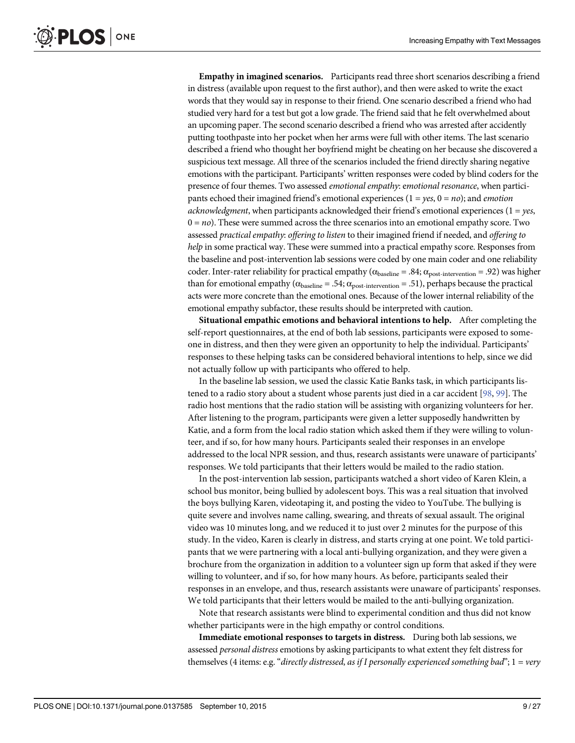<span id="page-8-0"></span>Empathy in imagined scenarios. Participants read three short scenarios describing a friend in distress (available upon request to the first author), and then were asked to write the exact words that they would say in response to their friend. One scenario described a friend who had studied very hard for a test but got a low grade. The friend said that he felt overwhelmed about an upcoming paper. The second scenario described a friend who was arrested after accidently putting toothpaste into her pocket when her arms were full with other items. The last scenario described a friend who thought her boyfriend might be cheating on her because she discovered a suspicious text message. All three of the scenarios included the friend directly sharing negative emotions with the participant. Participants' written responses were coded by blind coders for the presence of four themes. Two assessed emotional empathy: emotional resonance, when participants echoed their imagined friend's emotional experiences  $(1 = yes, 0 = no)$ ; and *emotion* acknowledgment, when participants acknowledged their friend's emotional experiences ( $1 = yes$ ,  $0 = no$ ). These were summed across the three scenarios into an emotional empathy score. Two assessed practical empathy: offering to listen to their imagined friend if needed, and offering to help in some practical way. These were summed into a practical empathy score. Responses from the baseline and post-intervention lab sessions were coded by one main coder and one reliability coder. Inter-rater reliability for practical empathy ( $\alpha_{\text{baseline}} = .84$ ;  $\alpha_{\text{post-intervention}} = .92$ ) was higher than for emotional empathy ( $\alpha_{\text{baseline}} = .54$ ;  $\alpha_{\text{post-intervention}} = .51$ ), perhaps because the practical acts were more concrete than the emotional ones. Because of the lower internal reliability of the emotional empathy subfactor, these results should be interpreted with caution.

Situational empathic emotions and behavioral intentions to help. After completing the self-report questionnaires, at the end of both lab sessions, participants were exposed to someone in distress, and then they were given an opportunity to help the individual. Participants' responses to these helping tasks can be considered behavioral intentions to help, since we did not actually follow up with participants who offered to help.

In the baseline lab session, we used the classic Katie Banks task, in which participants listened to a radio story about a student whose parents just died in a car accident [\[98,](#page-24-0) [99\]](#page-24-0). The radio host mentions that the radio station will be assisting with organizing volunteers for her. After listening to the program, participants were given a letter supposedly handwritten by Katie, and a form from the local radio station which asked them if they were willing to volunteer, and if so, for how many hours. Participants sealed their responses in an envelope addressed to the local NPR session, and thus, research assistants were unaware of participants' responses. We told participants that their letters would be mailed to the radio station.

In the post-intervention lab session, participants watched a short video of Karen Klein, a school bus monitor, being bullied by adolescent boys. This was a real situation that involved the boys bullying Karen, videotaping it, and posting the video to YouTube. The bullying is quite severe and involves name calling, swearing, and threats of sexual assault. The original video was 10 minutes long, and we reduced it to just over 2 minutes for the purpose of this study. In the video, Karen is clearly in distress, and starts crying at one point. We told participants that we were partnering with a local anti-bullying organization, and they were given a brochure from the organization in addition to a volunteer sign up form that asked if they were willing to volunteer, and if so, for how many hours. As before, participants sealed their responses in an envelope, and thus, research assistants were unaware of participants' responses. We told participants that their letters would be mailed to the anti-bullying organization.

Note that research assistants were blind to experimental condition and thus did not know whether participants were in the high empathy or control conditions.

Immediate emotional responses to targets in distress. During both lab sessions, we assessed personal distress emotions by asking participants to what extent they felt distress for themselves (4 items: e.g. "directly distressed, as if I personally experienced something bad";  $1 = \text{very}$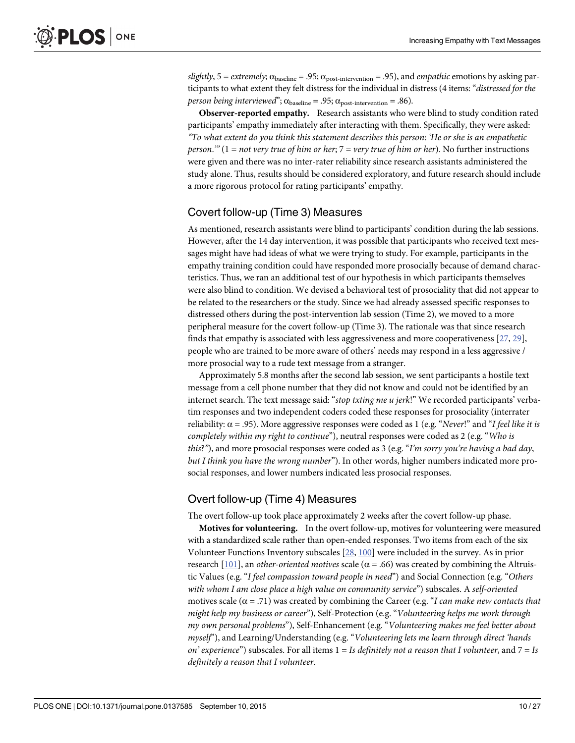<span id="page-9-0"></span>slightly, 5 = extremely;  $\alpha_{\text{baseline}} = .95$ ;  $\alpha_{\text{post-intervention}} = .95$ ), and empathic emotions by asking participants to what extent they felt distress for the individual in distress (4 items: "distressed for the person being interviewed";  $\alpha_{\text{baseline}} = .95$ ;  $\alpha_{\text{post-intervention}} = .86$ ).

Observer-reported empathy. Research assistants who were blind to study condition rated participants' empathy immediately after interacting with them. Specifically, they were asked: "To what extent do you think this statement describes this person: 'He or she is an empathetic person."  $(1 = not very true of him or her; 7 = very true of him or her)$ . No further instructions were given and there was no inter-rater reliability since research assistants administered the study alone. Thus, results should be considered exploratory, and future research should include a more rigorous protocol for rating participants' empathy.

#### Covert follow-up (Time 3) Measures

As mentioned, research assistants were blind to participants' condition during the lab sessions. However, after the 14 day intervention, it was possible that participants who received text messages might have had ideas of what we were trying to study. For example, participants in the empathy training condition could have responded more prosocially because of demand characteristics. Thus, we ran an additional test of our hypothesis in which participants themselves were also blind to condition. We devised a behavioral test of prosociality that did not appear to be related to the researchers or the study. Since we had already assessed specific responses to distressed others during the post-intervention lab session (Time 2), we moved to a more peripheral measure for the covert follow-up (Time 3). The rationale was that since research finds that empathy is associated with less aggressiveness and more cooperativeness [[27,](#page-21-0) [29\]](#page-21-0), people who are trained to be more aware of others' needs may respond in a less aggressive / more prosocial way to a rude text message from a stranger.

Approximately 5.8 months after the second lab session, we sent participants a hostile text message from a cell phone number that they did not know and could not be identified by an internet search. The text message said: "stop txting me u jerk!" We recorded participants' verbatim responses and two independent coders coded these responses for prosociality (interrater reliability:  $\alpha$  = .95). More aggressive responses were coded as 1 (e.g. "Never!" and "I feel like it is completely within my right to continue"), neutral responses were coded as 2 (e.g. "Who is this?"), and more prosocial responses were coded as 3 (e.g. "I'm sorry you're having a bad day, but I think you have the wrong number"). In other words, higher numbers indicated more prosocial responses, and lower numbers indicated less prosocial responses.

#### Overt follow-up (Time 4) Measures

The overt follow-up took place approximately 2 weeks after the covert follow-up phase.

Motives for volunteering. In the overt follow-up, motives for volunteering were measured with a standardized scale rather than open-ended responses. Two items from each of the six Volunteer Functions Inventory subscales [[28](#page-21-0), [100](#page-24-0)] were included in the survey. As in prior research [[101](#page-24-0)], an *other-oriented motives* scale ( $\alpha$  = .66) was created by combining the Altruistic Values (e.g. "I feel compassion toward people in need") and Social Connection (e.g. "Others with whom I am close place a high value on community service") subscales. A self-oriented motives scale ( $\alpha$  = .71) was created by combining the Career (e.g. "I can make new contacts that might help my business or career"), Self-Protection (e.g. "Volunteering helps me work through my own personal problems"), Self-Enhancement (e.g. "Volunteering makes me feel better about myself"), and Learning/Understanding (e.g. "Volunteering lets me learn through direct 'hands on' experience") subscales. For all items  $1 = Is$  definitely not a reason that I volunteer, and  $7 = Is$ definitely a reason that I volunteer.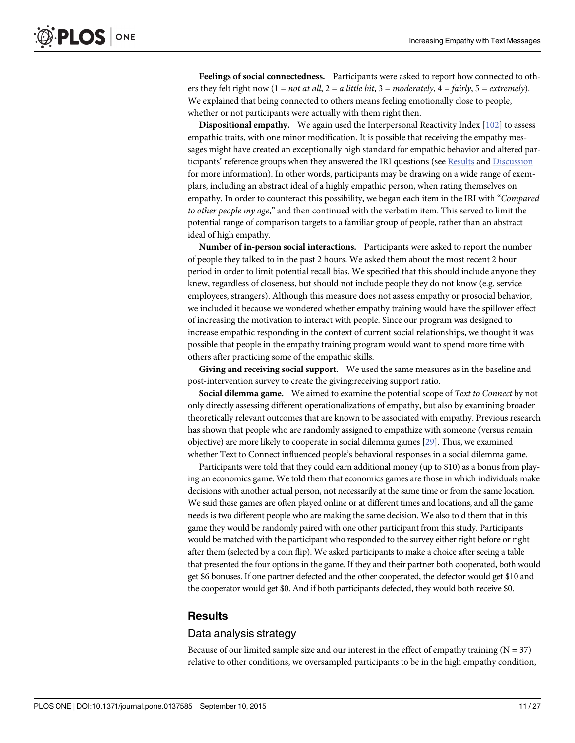<span id="page-10-0"></span>Feelings of social connectedness. Participants were asked to report how connected to others they felt right now  $(1 = not at all, 2 = a little bit, 3 = moderately, 4 = fairly, 5 = extremely).$ We explained that being connected to others means feeling emotionally close to people, whether or not participants were actually with them right then.

Dispositional empathy. We again used the Interpersonal Reactivity Index [\[102\]](#page-24-0) to assess empathic traits, with one minor modification. It is possible that receiving the empathy messages might have created an exceptionally high standard for empathic behavior and altered participants' reference groups when they answered the IRI questions (see Results and [Discussion](#page-15-0) for more information). In other words, participants may be drawing on a wide range of exemplars, including an abstract ideal of a highly empathic person, when rating themselves on empathy. In order to counteract this possibility, we began each item in the IRI with "Compared to other people my age," and then continued with the verbatim item. This served to limit the potential range of comparison targets to a familiar group of people, rather than an abstract ideal of high empathy.

Number of in-person social interactions. Participants were asked to report the number of people they talked to in the past 2 hours. We asked them about the most recent 2 hour period in order to limit potential recall bias. We specified that this should include anyone they knew, regardless of closeness, but should not include people they do not know (e.g. service employees, strangers). Although this measure does not assess empathy or prosocial behavior, we included it because we wondered whether empathy training would have the spillover effect of increasing the motivation to interact with people. Since our program was designed to increase empathic responding in the context of current social relationships, we thought it was possible that people in the empathy training program would want to spend more time with others after practicing some of the empathic skills.

Giving and receiving social support. We used the same measures as in the baseline and post-intervention survey to create the giving:receiving support ratio.

Social dilemma game. We aimed to examine the potential scope of Text to Connect by not only directly assessing different operationalizations of empathy, but also by examining broader theoretically relevant outcomes that are known to be associated with empathy. Previous research has shown that people who are randomly assigned to empathize with someone (versus remain objective) are more likely to cooperate in social dilemma games [\[29\]](#page-21-0). Thus, we examined whether Text to Connect influenced people's behavioral responses in a social dilemma game.

Participants were told that they could earn additional money (up to \$10) as a bonus from playing an economics game. We told them that economics games are those in which individuals make decisions with another actual person, not necessarily at the same time or from the same location. We said these games are often played online or at different times and locations, and all the game needs is two different people who are making the same decision. We also told them that in this game they would be randomly paired with one other participant from this study. Participants would be matched with the participant who responded to the survey either right before or right after them (selected by a coin flip). We asked participants to make a choice after seeing a table that presented the four options in the game. If they and their partner both cooperated, both would get \$6 bonuses. If one partner defected and the other cooperated, the defector would get \$10 and the cooperator would get \$0. And if both participants defected, they would both receive \$0.

#### **Results**

#### Data analysis strategy

Because of our limited sample size and our interest in the effect of empathy training  $(N = 37)$ relative to other conditions, we oversampled participants to be in the high empathy condition,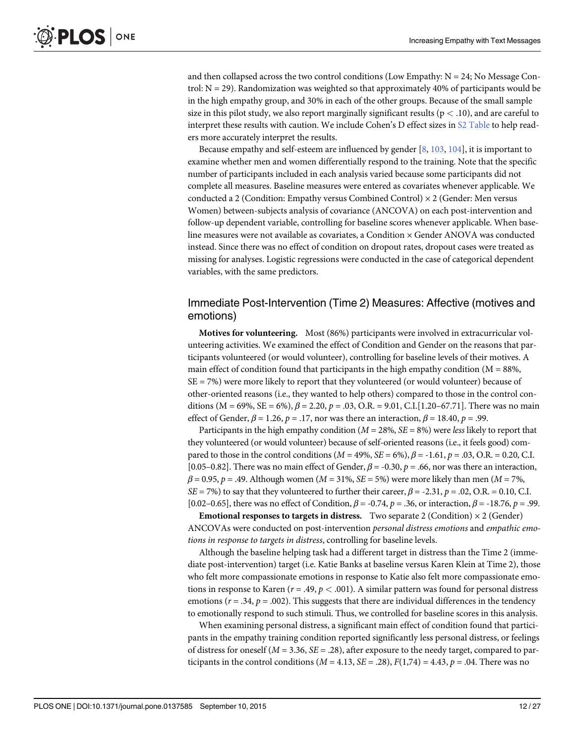<span id="page-11-0"></span>and then collapsed across the two control conditions (Low Empathy:  $N = 24$ ; No Message Control:  $N = 29$ ). Randomization was weighted so that approximately 40% of participants would be in the high empathy group, and 30% in each of the other groups. Because of the small sample size in this pilot study, we also report marginally significant results ( $p < .10$ ), and are careful to interpret these results with caution. We include Cohen's D effect sizes in [S2 Table](#page-20-0) to help readers more accurately interpret the results.

Because empathy and self-esteem are influenced by gender  $[8, 103, 104]$  $[8, 103, 104]$  $[8, 103, 104]$  $[8, 103, 104]$  $[8, 103, 104]$ , it is important to examine whether men and women differentially respond to the training. Note that the specific number of participants included in each analysis varied because some participants did not complete all measures. Baseline measures were entered as covariates whenever applicable. We conducted a 2 (Condition: Empathy versus Combined Control)  $\times$  2 (Gender: Men versus Women) between-subjects analysis of covariance (ANCOVA) on each post-intervention and follow-up dependent variable, controlling for baseline scores whenever applicable. When baseline measures were not available as covariates, a Condition × Gender ANOVA was conducted instead. Since there was no effect of condition on dropout rates, dropout cases were treated as missing for analyses. Logistic regressions were conducted in the case of categorical dependent variables, with the same predictors.

#### Immediate Post-Intervention (Time 2) Measures: Affective (motives and emotions)

Motives for volunteering. Most (86%) participants were involved in extracurricular volunteering activities. We examined the effect of Condition and Gender on the reasons that participants volunteered (or would volunteer), controlling for baseline levels of their motives. A main effect of condition found that participants in the high empathy condition ( $M = 88\%$ , SE = 7%) were more likely to report that they volunteered (or would volunteer) because of other-oriented reasons (i.e., they wanted to help others) compared to those in the control conditions ( $M = 69\%$ ,  $SE = 6\%$ ),  $\beta = 2.20$ ,  $p = .03$ , O.R. = 9.01, C.I.[1.20–67.71]. There was no main effect of Gender,  $\beta$  = 1.26,  $p$  = .17, nor was there an interaction,  $\beta$  = 18.40,  $p$  = .99.

Participants in the high empathy condition ( $M = 28\%$ ,  $SE = 8\%$ ) were less likely to report that they volunteered (or would volunteer) because of self-oriented reasons (i.e., it feels good) compared to those in the control conditions ( $M = 49\%$ ,  $SE = 6\%$ ),  $\beta = -1.61$ ,  $p = .03$ , O.R. = 0.20, C.I. [0.05–0.82]. There was no main effect of Gender,  $\beta$  = -0.30,  $p$  = .66, nor was there an interaction,  $\beta = 0.95$ , p = .49. Although women ( $M = 31\%$ ,  $SE = 5\%$ ) were more likely than men ( $M = 7\%$ ,  $SE = 7\%$ ) to say that they volunteered to further their career,  $\beta = -2.31$ ,  $p = .02$ , O.R. = 0.10, C.I. [0.02–0.65], there was no effect of Condition,  $\beta$  = -0.74, p = .36, or interaction,  $\beta$  = -18.76, p = .99.

**Emotional responses to targets in distress.** Two separate 2 (Condition)  $\times$  2 (Gender) ANCOVAs were conducted on post-intervention personal distress emotions and empathic emotions in response to targets in distress, controlling for baseline levels.

Although the baseline helping task had a different target in distress than the Time 2 (immediate post-intervention) target (i.e. Katie Banks at baseline versus Karen Klein at Time 2), those who felt more compassionate emotions in response to Katie also felt more compassionate emotions in response to Karen ( $r = .49$ ,  $p < .001$ ). A similar pattern was found for personal distress emotions ( $r = .34$ ,  $p = .002$ ). This suggests that there are individual differences in the tendency to emotionally respond to such stimuli. Thus, we controlled for baseline scores in this analysis.

When examining personal distress, a significant main effect of condition found that participants in the empathy training condition reported significantly less personal distress, or feelings of distress for oneself ( $M = 3.36$ ,  $SE = .28$ ), after exposure to the needy target, compared to participants in the control conditions ( $M = 4.13$ ,  $SE = .28$ ),  $F(1,74) = 4.43$ ,  $p = .04$ . There was no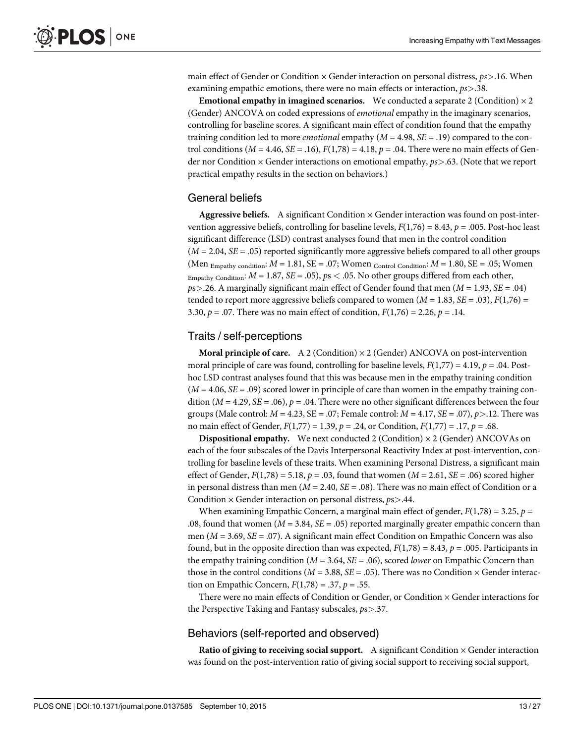main effect of Gender or Condition  $\times$  Gender interaction on personal distress,  $ps$  > 16. When examining empathic emotions, there were no main effects or interaction,  $ps > .38$ .

**Emotional empathy in imagined scenarios.** We conducted a separate 2 (Condition)  $\times$  2 (Gender) ANCOVA on coded expressions of emotional empathy in the imaginary scenarios, controlling for baseline scores. A significant main effect of condition found that the empathy training condition led to more *emotional* empathy  $(M = 4.98, SE = .19)$  compared to the control conditions ( $M = 4.46$ ,  $SE = .16$ ),  $F(1,78) = 4.18$ ,  $p = .04$ . There were no main effects of Gender nor Condition  $\times$  Gender interactions on emotional empathy,  $p_s$  > .63. (Note that we report practical empathy results in the section on behaviors.)

#### General beliefs

**Aggressive beliefs.** A significant Condition  $\times$  Gender interaction was found on post-intervention aggressive beliefs, controlling for baseline levels,  $F(1,76) = 8.43$ ,  $p = .005$ . Post-hoc least significant difference (LSD) contrast analyses found that men in the control condition  $(M = 2.04, SE = .05)$  reported significantly more aggressive beliefs compared to all other groups (Men  $_{\text{Empathy condition}}$ :  $M = 1.81$ ,  $SE = .07$ ; Women  $_{\text{Control Condition}}$ :  $M = 1.80$ ,  $SE = .05$ ; Women Empathy Condition:  $M = 1.87$ ,  $SE = .05$ ),  $ps < .05$ . No other groups differed from each other,  $ps > 0.26$ . A marginally significant main effect of Gender found that men ( $M = 1.93$ ,  $SE = .04$ ) tended to report more aggressive beliefs compared to women  $(M = 1.83, SE = .03)$ ,  $F(1,76) =$ 3.30,  $p = .07$ . There was no main effect of condition,  $F(1,76) = 2.26$ ,  $p = .14$ .

#### Traits / self-perceptions

**Moral principle of care.** A 2 (Condition)  $\times$  2 (Gender) ANCOVA on post-intervention moral principle of care was found, controlling for baseline levels,  $F(1,77) = 4.19$ ,  $p = .04$ . Posthoc LSD contrast analyses found that this was because men in the empathy training condition  $(M = 4.06, SE = .09)$  scored lower in principle of care than women in the empathy training condition ( $M = 4.29$ ,  $SE = .06$ ),  $p = .04$ . There were no other significant differences between the four groups (Male control:  $M = 4.23$ ,  $SE = .07$ ; Female control:  $M = 4.17$ ,  $SE = .07$ ),  $p > .12$ . There was no main effect of Gender,  $F(1,77) = 1.39$ ,  $p = .24$ , or Condition,  $F(1,77) = .17$ ,  $p = .68$ .

**Dispositional empathy.** We next conducted 2 (Condition)  $\times$  2 (Gender) ANCOVAs on each of the four subscales of the Davis Interpersonal Reactivity Index at post-intervention, controlling for baseline levels of these traits. When examining Personal Distress, a significant main effect of Gender,  $F(1,78) = 5.18$ ,  $p = .03$ , found that women ( $M = 2.61$ ,  $SE = .06$ ) scored higher in personal distress than men ( $M = 2.40$ ,  $SE = .08$ ). There was no main effect of Condition or a Condition  $\times$  Gender interaction on personal distress,  $ps$  > .44.

When examining Empathic Concern, a marginal main effect of gender,  $F(1,78) = 3.25$ ,  $p =$ .08, found that women ( $M = 3.84$ ,  $SE = .05$ ) reported marginally greater empathic concern than men ( $M = 3.69$ ,  $SE = .07$ ). A significant main effect Condition on Empathic Concern was also found, but in the opposite direction than was expected,  $F(1,78) = 8.43$ ,  $p = .005$ . Participants in the empathy training condition ( $M = 3.64$ ,  $SE = .06$ ), scored lower on Empathic Concern than those in the control conditions ( $M = 3.88$ ,  $SE = .05$ ). There was no Condition  $\times$  Gender interaction on Empathic Concern,  $F(1,78) = .37$ ,  $p = .55$ .

There were no main effects of Condition or Gender, or Condition  $\times$  Gender interactions for the Perspective Taking and Fantasy subscales,  $ps$  > .37.

#### Behaviors (self-reported and observed)

Ratio of giving to receiving social support. A significant Condition  $\times$  Gender interaction was found on the post-intervention ratio of giving social support to receiving social support,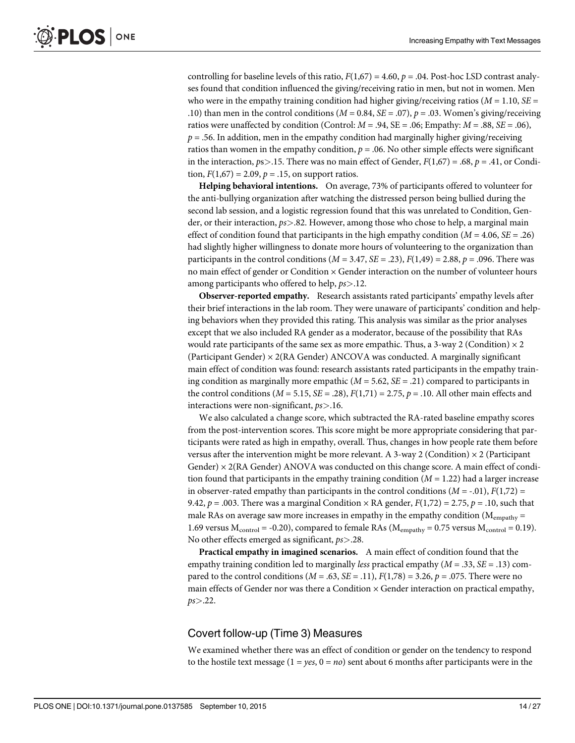controlling for baseline levels of this ratio,  $F(1,67) = 4.60$ ,  $p = .04$ . Post-hoc LSD contrast analyses found that condition influenced the giving/receiving ratio in men, but not in women. Men who were in the empathy training condition had higher giving/receiving ratios ( $M = 1.10$ ,  $SE =$ .10) than men in the control conditions ( $M = 0.84$ ,  $SE = .07$ ),  $p = .03$ . Women's giving/receiving ratios were unaffected by condition (Control:  $M = .94$ ,  $SE = .06$ ; Empathy:  $M = .88$ ,  $SE = .06$ ),  $p = .56$ . In addition, men in the empathy condition had marginally higher giving/receiving ratios than women in the empathy condition,  $p = 0.06$ . No other simple effects were significant in the interaction,  $ps > 15$ . There was no main effect of Gender,  $F(1,67) = .68$ ,  $p = .41$ , or Condition,  $F(1,67) = 2.09$ ,  $p = .15$ , on support ratios.

Helping behavioral intentions. On average, 73% of participants offered to volunteer for the anti-bullying organization after watching the distressed person being bullied during the second lab session, and a logistic regression found that this was unrelated to Condition, Gender, or their interaction,  $ps > .82$ . However, among those who chose to help, a marginal main effect of condition found that participants in the high empathy condition ( $M = 4.06$ ,  $SE = .26$ ) had slightly higher willingness to donate more hours of volunteering to the organization than participants in the control conditions  $(M = 3.47, SE = .23), F(1,49) = 2.88, p = .096$ . There was no main effect of gender or Condition × Gender interaction on the number of volunteer hours among participants who offered to help, ps>.12.

Observer-reported empathy. Research assistants rated participants' empathy levels after their brief interactions in the lab room. They were unaware of participants' condition and helping behaviors when they provided this rating. This analysis was similar as the prior analyses except that we also included RA gender as a moderator, because of the possibility that RAs would rate participants of the same sex as more empathic. Thus, a 3-way 2 (Condition)  $\times$  2 (Participant Gender)  $\times$  2(RA Gender) ANCOVA was conducted. A marginally significant main effect of condition was found: research assistants rated participants in the empathy training condition as marginally more empathic  $(M = 5.62, SE = .21)$  compared to participants in the control conditions  $(M = 5.15, SE = .28)$ ,  $F(1,71) = 2.75$ ,  $p = .10$ . All other main effects and interactions were non-significant,  $ps$  > .16.

We also calculated a change score, which subtracted the RA-rated baseline empathy scores from the post-intervention scores. This score might be more appropriate considering that participants were rated as high in empathy, overall. Thus, changes in how people rate them before versus after the intervention might be more relevant. A 3-way 2 (Condition)  $\times$  2 (Participant Gender)  $\times$  2(RA Gender) ANOVA was conducted on this change score. A main effect of condition found that participants in the empathy training condition  $(M = 1.22)$  had a larger increase in observer-rated empathy than participants in the control conditions  $(M = -0.01)$ ,  $F(1.72) =$ 9.42,  $p = .003$ . There was a marginal Condition  $\times$  RA gender,  $F(1,72) = 2.75$ ,  $p = .10$ , such that male RAs on average saw more increases in empathy in the empathy condition ( $M_{\text{empathy}} =$ 1.69 versus  $M_{control} = -0.20$ , compared to female RAs ( $M_{empty} = 0.75$  versus  $M_{control} = 0.19$ ). No other effects emerged as significant,  $ps$  > .28.

Practical empathy in imagined scenarios. A main effect of condition found that the empathy training condition led to marginally *less* practical empathy  $(M = .33, SE = .13)$  compared to the control conditions  $(M = .63, SE = .11), F(1,78) = 3.26, p = .075$ . There were no main effects of Gender nor was there a Condition × Gender interaction on practical empathy,  $ps > .22$ .

#### Covert follow-up (Time 3) Measures

We examined whether there was an effect of condition or gender on the tendency to respond to the hostile text message ( $1 = yes$ ,  $0 = no$ ) sent about 6 months after participants were in the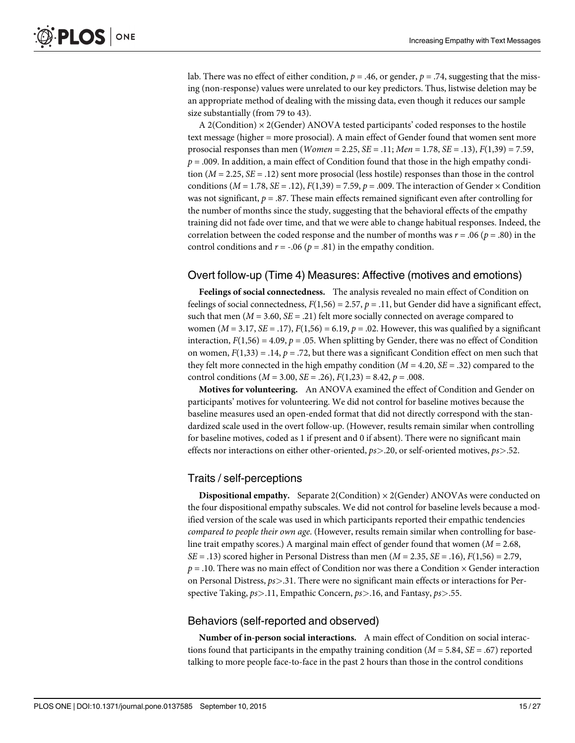lab. There was no effect of either condition,  $p = .46$ , or gender,  $p = .74$ , suggesting that the missing (non-response) values were unrelated to our key predictors. Thus, listwise deletion may be an appropriate method of dealing with the missing data, even though it reduces our sample size substantially (from 79 to 43).

A 2(Condition) × 2(Gender) ANOVA tested participants' coded responses to the hostile text message (higher = more prosocial). A main effect of Gender found that women sent more prosocial responses than men (*Women* = 2.25, *SE* = .11; *Men* = 1.78, *SE* = .13),  $F(1,39) = 7.59$ ,  $p = .009$ . In addition, a main effect of Condition found that those in the high empathy condition  $(M = 2.25, SE = .12)$  sent more prosocial (less hostile) responses than those in the control conditions ( $M = 1.78$ ,  $SE = .12$ ),  $F(1,39) = 7.59$ ,  $p = .009$ . The interaction of Gender  $\times$  Condition was not significant,  $p = .87$ . These main effects remained significant even after controlling for the number of months since the study, suggesting that the behavioral effects of the empathy training did not fade over time, and that we were able to change habitual responses. Indeed, the correlation between the coded response and the number of months was  $r = .06$  ( $p = .80$ ) in the control conditions and  $r = -.06$  ( $p = .81$ ) in the empathy condition.

#### Overt follow-up (Time 4) Measures: Affective (motives and emotions)

Feelings of social connectedness. The analysis revealed no main effect of Condition on feelings of social connectedness,  $F(1,56) = 2.57$ ,  $p = .11$ , but Gender did have a significant effect, such that men ( $M = 3.60$ ,  $SE = .21$ ) felt more socially connected on average compared to women ( $M = 3.17$ ,  $SE = .17$ ),  $F(1,56) = 6.19$ ,  $p = .02$ . However, this was qualified by a significant interaction,  $F(1,56) = 4.09$ ,  $p = .05$ . When splitting by Gender, there was no effect of Condition on women,  $F(1,33) = .14$ ,  $p = .72$ , but there was a significant Condition effect on men such that they felt more connected in the high empathy condition ( $M = 4.20$ ,  $SE = .32$ ) compared to the control conditions ( $M = 3.00$ ,  $SE = .26$ ),  $F(1,23) = 8.42$ ,  $p = .008$ .

Motives for volunteering. An ANOVA examined the effect of Condition and Gender on participants' motives for volunteering. We did not control for baseline motives because the baseline measures used an open-ended format that did not directly correspond with the standardized scale used in the overt follow-up. (However, results remain similar when controlling for baseline motives, coded as 1 if present and 0 if absent). There were no significant main effects nor interactions on either other-oriented,  $ps > 20$ , or self-oriented motives,  $ps > 52$ .

#### Traits / self-perceptions

**Dispositional empathy.** Separate 2(Condition)  $\times$  2(Gender) ANOVAs were conducted on the four dispositional empathy subscales. We did not control for baseline levels because a modified version of the scale was used in which participants reported their empathic tendencies compared to people their own age. (However, results remain similar when controlling for baseline trait empathy scores.) A marginal main effect of gender found that women ( $M = 2.68$ ,  $SE = .13$ ) scored higher in Personal Distress than men ( $M = 2.35$ ,  $SE = .16$ ),  $F(1,56) = 2.79$ ,  $p = .10$ . There was no main effect of Condition nor was there a Condition  $\times$  Gender interaction on Personal Distress,  $ps > 0.31$ . There were no significant main effects or interactions for Perspective Taking,  $ps > 11$ , Empathic Concern,  $ps > 16$ , and Fantasy,  $ps > 0.55$ .

#### Behaviors (self-reported and observed)

Number of in-person social interactions. A main effect of Condition on social interactions found that participants in the empathy training condition ( $M = 5.84$ ,  $SE = .67$ ) reported talking to more people face-to-face in the past 2 hours than those in the control conditions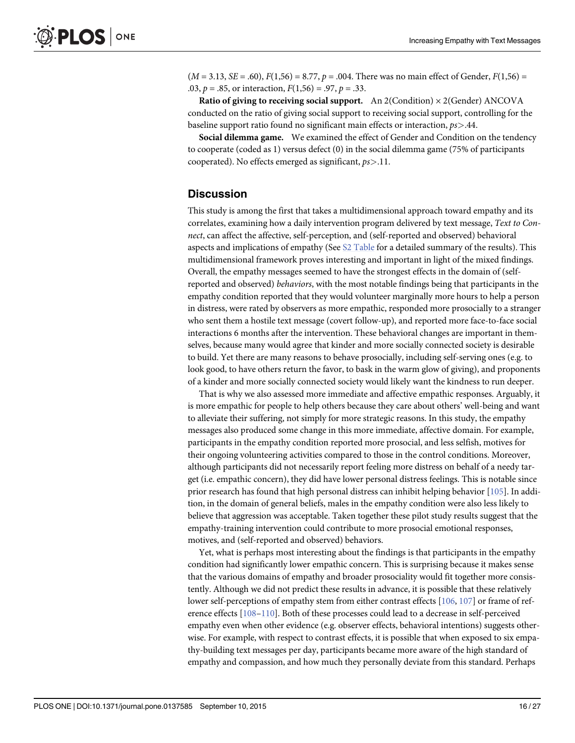<span id="page-15-0"></span> $(M = 3.13, SE = .60), F(1,56) = 8.77, p = .004.$  There was no main effect of Gender,  $F(1,56) =$ .03,  $p = .85$ , or interaction,  $F(1,56) = .97$ ,  $p = .33$ .

Ratio of giving to receiving social support. An  $2$ (Condition)  $\times$  2(Gender) ANCOVA conducted on the ratio of giving social support to receiving social support, controlling for the baseline support ratio found no significant main effects or interaction, ps>.44.

Social dilemma game. We examined the effect of Gender and Condition on the tendency to cooperate (coded as 1) versus defect (0) in the social dilemma game (75% of participants cooperated). No effects emerged as significant,  $ps > 11$ .

#### **Discussion**

This study is among the first that takes a multidimensional approach toward empathy and its correlates, examining how a daily intervention program delivered by text message, Text to Connect, can affect the affective, self-perception, and (self-reported and observed) behavioral aspects and implications of empathy (See [S2 Table](#page-20-0) for a detailed summary of the results). This multidimensional framework proves interesting and important in light of the mixed findings. Overall, the empathy messages seemed to have the strongest effects in the domain of (selfreported and observed) behaviors, with the most notable findings being that participants in the empathy condition reported that they would volunteer marginally more hours to help a person in distress, were rated by observers as more empathic, responded more prosocially to a stranger who sent them a hostile text message (covert follow-up), and reported more face-to-face social interactions 6 months after the intervention. These behavioral changes are important in themselves, because many would agree that kinder and more socially connected society is desirable to build. Yet there are many reasons to behave prosocially, including self-serving ones (e.g. to look good, to have others return the favor, to bask in the warm glow of giving), and proponents of a kinder and more socially connected society would likely want the kindness to run deeper.

That is why we also assessed more immediate and affective empathic responses. Arguably, it is more empathic for people to help others because they care about others' well-being and want to alleviate their suffering, not simply for more strategic reasons. In this study, the empathy messages also produced some change in this more immediate, affective domain. For example, participants in the empathy condition reported more prosocial, and less selfish, motives for their ongoing volunteering activities compared to those in the control conditions. Moreover, although participants did not necessarily report feeling more distress on behalf of a needy target (i.e. empathic concern), they did have lower personal distress feelings. This is notable since prior research has found that high personal distress can inhibit helping behavior [[105](#page-24-0)]. In addition, in the domain of general beliefs, males in the empathy condition were also less likely to believe that aggression was acceptable. Taken together these pilot study results suggest that the empathy-training intervention could contribute to more prosocial emotional responses, motives, and (self-reported and observed) behaviors.

Yet, what is perhaps most interesting about the findings is that participants in the empathy condition had significantly lower empathic concern. This is surprising because it makes sense that the various domains of empathy and broader prosociality would fit together more consistently. Although we did not predict these results in advance, it is possible that these relatively lower self-perceptions of empathy stem from either contrast effects [\[106,](#page-24-0) [107](#page-24-0)] or frame of reference effects [[108](#page-24-0)–[110](#page-24-0)]. Both of these processes could lead to a decrease in self-perceived empathy even when other evidence (e.g. observer effects, behavioral intentions) suggests otherwise. For example, with respect to contrast effects, it is possible that when exposed to six empathy-building text messages per day, participants became more aware of the high standard of empathy and compassion, and how much they personally deviate from this standard. Perhaps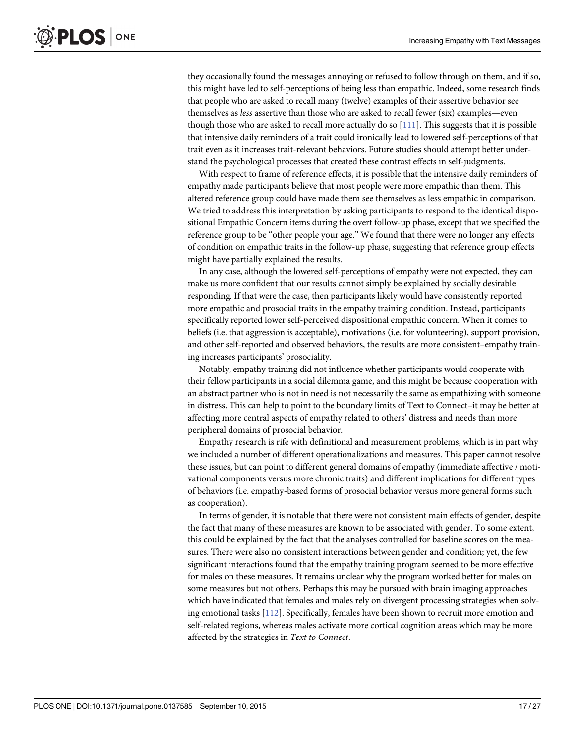<span id="page-16-0"></span>they occasionally found the messages annoying or refused to follow through on them, and if so, this might have led to self-perceptions of being less than empathic. Indeed, some research finds that people who are asked to recall many (twelve) examples of their assertive behavior see themselves as less assertive than those who are asked to recall fewer (six) examples—even though those who are asked to recall more actually do so [[111](#page-24-0)]. This suggests that it is possible that intensive daily reminders of a trait could ironically lead to lowered self-perceptions of that trait even as it increases trait-relevant behaviors. Future studies should attempt better understand the psychological processes that created these contrast effects in self-judgments.

With respect to frame of reference effects, it is possible that the intensive daily reminders of empathy made participants believe that most people were more empathic than them. This altered reference group could have made them see themselves as less empathic in comparison. We tried to address this interpretation by asking participants to respond to the identical dispositional Empathic Concern items during the overt follow-up phase, except that we specified the reference group to be "other people your age." We found that there were no longer any effects of condition on empathic traits in the follow-up phase, suggesting that reference group effects might have partially explained the results.

In any case, although the lowered self-perceptions of empathy were not expected, they can make us more confident that our results cannot simply be explained by socially desirable responding. If that were the case, then participants likely would have consistently reported more empathic and prosocial traits in the empathy training condition. Instead, participants specifically reported lower self-perceived dispositional empathic concern. When it comes to beliefs (i.e. that aggression is acceptable), motivations (i.e. for volunteering), support provision, and other self-reported and observed behaviors, the results are more consistent–empathy training increases participants' prosociality.

Notably, empathy training did not influence whether participants would cooperate with their fellow participants in a social dilemma game, and this might be because cooperation with an abstract partner who is not in need is not necessarily the same as empathizing with someone in distress. This can help to point to the boundary limits of Text to Connect–it may be better at affecting more central aspects of empathy related to others' distress and needs than more peripheral domains of prosocial behavior.

Empathy research is rife with definitional and measurement problems, which is in part why we included a number of different operationalizations and measures. This paper cannot resolve these issues, but can point to different general domains of empathy (immediate affective / motivational components versus more chronic traits) and different implications for different types of behaviors (i.e. empathy-based forms of prosocial behavior versus more general forms such as cooperation).

In terms of gender, it is notable that there were not consistent main effects of gender, despite the fact that many of these measures are known to be associated with gender. To some extent, this could be explained by the fact that the analyses controlled for baseline scores on the measures. There were also no consistent interactions between gender and condition; yet, the few significant interactions found that the empathy training program seemed to be more effective for males on these measures. It remains unclear why the program worked better for males on some measures but not others. Perhaps this may be pursued with brain imaging approaches which have indicated that females and males rely on divergent processing strategies when solving emotional tasks [[112\]](#page-24-0). Specifically, females have been shown to recruit more emotion and self-related regions, whereas males activate more cortical cognition areas which may be more affected by the strategies in Text to Connect.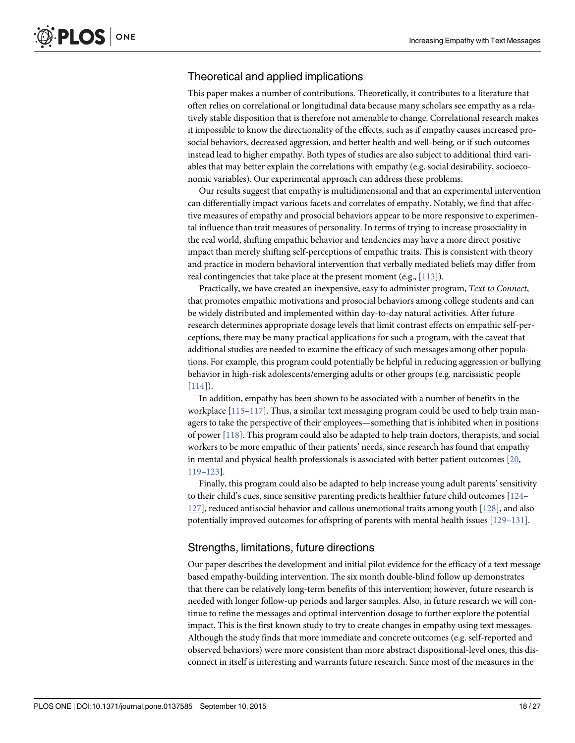#### <span id="page-17-0"></span>Theoretical and applied implications

This paper makes a number of contributions. Theoretically, it contributes to a literature that often relies on correlational or longitudinal data because many scholars see empathy as a relatively stable disposition that is therefore not amenable to change. Correlational research makes it impossible to know the directionality of the effects, such as if empathy causes increased prosocial behaviors, decreased aggression, and better health and well-being, or if such outcomes instead lead to higher empathy. Both types of studies are also subject to additional third variables that may better explain the correlations with empathy (e.g. social desirability, socioeconomic variables). Our experimental approach can address these problems.

Our results suggest that empathy is multidimensional and that an experimental intervention can differentially impact various facets and correlates of empathy. Notably, we find that affective measures of empathy and prosocial behaviors appear to be more responsive to experimental influence than trait measures of personality. In terms of trying to increase prosociality in the real world, shifting empathic behavior and tendencies may have a more direct positive impact than merely shifting self-perceptions of empathic traits. This is consistent with theory and practice in modern behavioral intervention that verbally mediated beliefs may differ from real contingencies that take place at the present moment (e.g.,  $[113]$  $[113]$ ).

Practically, we have created an inexpensive, easy to administer program, Text to Connect, that promotes empathic motivations and prosocial behaviors among college students and can be widely distributed and implemented within day-to-day natural activities. After future research determines appropriate dosage levels that limit contrast effects on empathic self-perceptions, there may be many practical applications for such a program, with the caveat that additional studies are needed to examine the efficacy of such messages among other populations. For example, this program could potentially be helpful in reducing aggression or bullying behavior in high-risk adolescents/emerging adults or other groups (e.g. narcissistic people [\[114\]](#page-24-0)).

In addition, empathy has been shown to be associated with a number of benefits in the workplace  $[115-117]$  $[115-117]$  $[115-117]$  $[115-117]$ . Thus, a similar text messaging program could be used to help train managers to take the perspective of their employees—something that is inhibited when in positions of power [[118\]](#page-25-0). This program could also be adapted to help train doctors, therapists, and social workers to be more empathic of their patients' needs, since research has found that empathy in mental and physical health professionals is associated with better patient outcomes [[20,](#page-21-0) [119](#page-25-0)–[123\]](#page-25-0).

Finally, this program could also be adapted to help increase young adult parents' sensitivity to their child's cues, since sensitive parenting predicts healthier future child outcomes [\[124](#page-25-0)– [127](#page-25-0)], reduced antisocial behavior and callous unemotional traits among youth [\[128](#page-25-0)], and also potentially improved outcomes for offspring of parents with mental health issues [\[129](#page-25-0)–[131\]](#page-25-0).

#### Strengths, limitations, future directions

Our paper describes the development and initial pilot evidence for the efficacy of a text message based empathy-building intervention. The six month double-blind follow up demonstrates that there can be relatively long-term benefits of this intervention; however, future research is needed with longer follow-up periods and larger samples. Also, in future research we will continue to refine the messages and optimal intervention dosage to further explore the potential impact. This is the first known study to try to create changes in empathy using text messages. Although the study finds that more immediate and concrete outcomes (e.g. self-reported and observed behaviors) were more consistent than more abstract dispositional-level ones, this disconnect in itself is interesting and warrants future research. Since most of the measures in the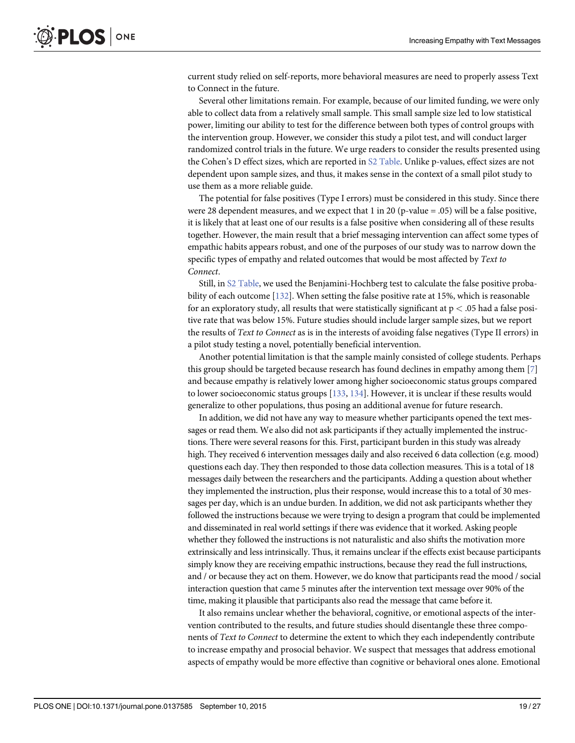<span id="page-18-0"></span>current study relied on self-reports, more behavioral measures are need to properly assess Text to Connect in the future.

Several other limitations remain. For example, because of our limited funding, we were only able to collect data from a relatively small sample. This small sample size led to low statistical power, limiting our ability to test for the difference between both types of control groups with the intervention group. However, we consider this study a pilot test, and will conduct larger randomized control trials in the future. We urge readers to consider the results presented using the Cohen's D effect sizes, which are reported in [S2 Table](#page-20-0). Unlike p-values, effect sizes are not dependent upon sample sizes, and thus, it makes sense in the context of a small pilot study to use them as a more reliable guide.

The potential for false positives (Type I errors) must be considered in this study. Since there were 28 dependent measures, and we expect that 1 in 20 (p-value = .05) will be a false positive, it is likely that at least one of our results is a false positive when considering all of these results together. However, the main result that a brief messaging intervention can affect some types of empathic habits appears robust, and one of the purposes of our study was to narrow down the specific types of empathy and related outcomes that would be most affected by Text to Connect.

Still, in [S2 Table,](#page-20-0) we used the Benjamini-Hochberg test to calculate the false positive probability of each outcome [\[132\]](#page-25-0). When setting the false positive rate at 15%, which is reasonable for an exploratory study, all results that were statistically significant at p < .05 had a false positive rate that was below 15%. Future studies should include larger sample sizes, but we report the results of Text to Connect as is in the interests of avoiding false negatives (Type II errors) in a pilot study testing a novel, potentially beneficial intervention.

Another potential limitation is that the sample mainly consisted of college students. Perhaps this group should be targeted because research has found declines in empathy among them [[7\]](#page-20-0) and because empathy is relatively lower among higher socioeconomic status groups compared to lower socioeconomic status groups [[133](#page-25-0), [134](#page-25-0)]. However, it is unclear if these results would generalize to other populations, thus posing an additional avenue for future research.

In addition, we did not have any way to measure whether participants opened the text messages or read them. We also did not ask participants if they actually implemented the instructions. There were several reasons for this. First, participant burden in this study was already high. They received 6 intervention messages daily and also received 6 data collection (e.g. mood) questions each day. They then responded to those data collection measures. This is a total of 18 messages daily between the researchers and the participants. Adding a question about whether they implemented the instruction, plus their response, would increase this to a total of 30 messages per day, which is an undue burden. In addition, we did not ask participants whether they followed the instructions because we were trying to design a program that could be implemented and disseminated in real world settings if there was evidence that it worked. Asking people whether they followed the instructions is not naturalistic and also shifts the motivation more extrinsically and less intrinsically. Thus, it remains unclear if the effects exist because participants simply know they are receiving empathic instructions, because they read the full instructions, and / or because they act on them. However, we do know that participants read the mood / social interaction question that came 5 minutes after the intervention text message over 90% of the time, making it plausible that participants also read the message that came before it.

It also remains unclear whether the behavioral, cognitive, or emotional aspects of the intervention contributed to the results, and future studies should disentangle these three components of Text to Connect to determine the extent to which they each independently contribute to increase empathy and prosocial behavior. We suspect that messages that address emotional aspects of empathy would be more effective than cognitive or behavioral ones alone. Emotional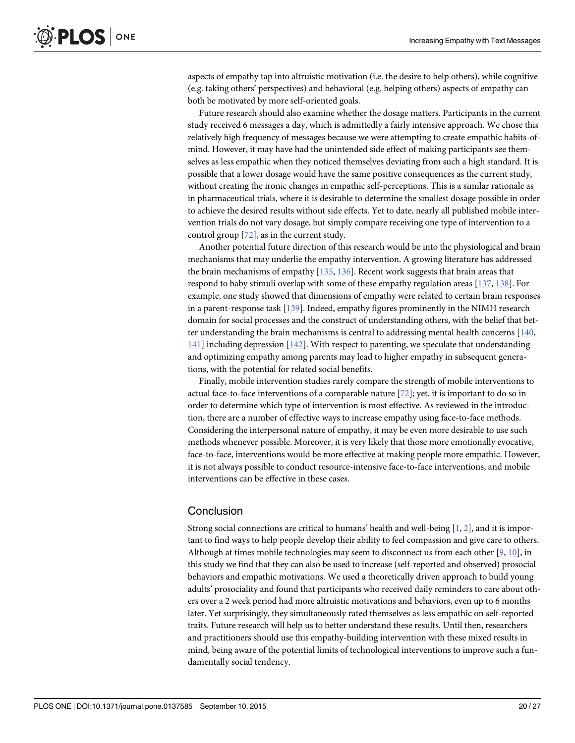<span id="page-19-0"></span>aspects of empathy tap into altruistic motivation (i.e. the desire to help others), while cognitive (e.g. taking others' perspectives) and behavioral (e.g. helping others) aspects of empathy can both be motivated by more self-oriented goals.

Future research should also examine whether the dosage matters. Participants in the current study received 6 messages a day, which is admittedly a fairly intensive approach. We chose this relatively high frequency of messages because we were attempting to create empathic habits-ofmind. However, it may have had the unintended side effect of making participants see themselves as less empathic when they noticed themselves deviating from such a high standard. It is possible that a lower dosage would have the same positive consequences as the current study, without creating the ironic changes in empathic self-perceptions. This is a similar rationale as in pharmaceutical trials, where it is desirable to determine the smallest dosage possible in order to achieve the desired results without side effects. Yet to date, nearly all published mobile intervention trials do not vary dosage, but simply compare receiving one type of intervention to a control group [\[72\]](#page-23-0), as in the current study.

Another potential future direction of this research would be into the physiological and brain mechanisms that may underlie the empathy intervention. A growing literature has addressed the brain mechanisms of empathy  $[135, 136]$  $[135, 136]$  $[135, 136]$ . Recent work suggests that brain areas that respond to baby stimuli overlap with some of these empathy regulation areas [[137](#page-25-0), [138](#page-25-0)]. For example, one study showed that dimensions of empathy were related to certain brain responses in a parent-response task [[139](#page-26-0)]. Indeed, empathy figures prominently in the NIMH research domain for social processes and the construct of understanding others, with the belief that better understanding the brain mechanisms is central to addressing mental health concerns [[140](#page-26-0), [141](#page-26-0)] including depression [\[142\]](#page-26-0). With respect to parenting, we speculate that understanding and optimizing empathy among parents may lead to higher empathy in subsequent generations, with the potential for related social benefits.

Finally, mobile intervention studies rarely compare the strength of mobile interventions to actual face-to-face interventions of a comparable nature [\[72](#page-23-0)]; yet, it is important to do so in order to determine which type of intervention is most effective. As reviewed in the introduction, there are a number of effective ways to increase empathy using face-to-face methods. Considering the interpersonal nature of empathy, it may be even more desirable to use such methods whenever possible. Moreover, it is very likely that those more emotionally evocative, face-to-face, interventions would be more effective at making people more empathic. However, it is not always possible to conduct resource-intensive face-to-face interventions, and mobile interventions can be effective in these cases.

#### **Conclusion**

Strong social connections are critical to humans' health and well-being [[1,](#page-20-0) [2\]](#page-20-0), and it is important to find ways to help people develop their ability to feel compassion and give care to others. Although at times mobile technologies may seem to disconnect us from each other  $[9, 10]$  $[9, 10]$  $[9, 10]$  $[9, 10]$ , in this study we find that they can also be used to increase (self-reported and observed) prosocial behaviors and empathic motivations. We used a theoretically driven approach to build young adults' prosociality and found that participants who received daily reminders to care about others over a 2 week period had more altruistic motivations and behaviors, even up to 6 months later. Yet surprisingly, they simultaneously rated themselves as less empathic on self-reported traits. Future research will help us to better understand these results. Until then, researchers and practitioners should use this empathy-building intervention with these mixed results in mind, being aware of the potential limits of technological interventions to improve such a fundamentally social tendency.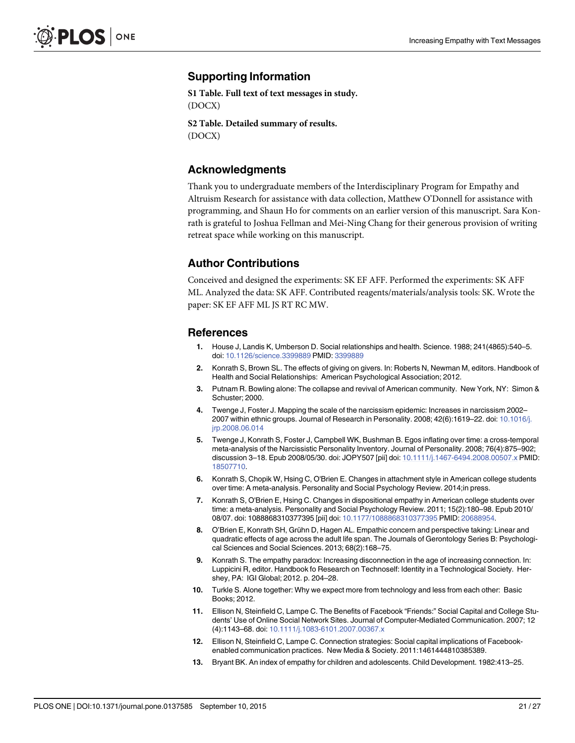#### <span id="page-20-0"></span>Supporting Information

[S1 Table](http://www.plosone.org/article/fetchSingleRepresentation.action?uri=info:doi/10.1371/journal.pone.0137585.s001). Full text of text messages in study. (DOCX)

[S2 Table](http://www.plosone.org/article/fetchSingleRepresentation.action?uri=info:doi/10.1371/journal.pone.0137585.s002). Detailed summary of results. (DOCX)

#### Acknowledgments

Thank you to undergraduate members of the Interdisciplinary Program for Empathy and Altruism Research for assistance with data collection, Matthew O'Donnell for assistance with programming, and Shaun Ho for comments on an earlier version of this manuscript. Sara Konrath is grateful to Joshua Fellman and Mei-Ning Chang for their generous provision of writing retreat space while working on this manuscript.

#### Author Contributions

Conceived and designed the experiments: SK EF AFF. Performed the experiments: SK AFF ML. Analyzed the data: SK AFF. Contributed reagents/materials/analysis tools: SK. Wrote the paper: SK EF AFF ML JS RT RC MW.

#### References

- [1.](#page-1-0) House J, Landis K, Umberson D. Social relationships and health. Science. 1988; 241(4865):540–5. doi: [10.1126/science.3399889](http://dx.doi.org/10.1126/science.3399889) PMID: [3399889](http://www.ncbi.nlm.nih.gov/pubmed/3399889)
- [2.](#page-1-0) Konrath S, Brown SL. The effects of giving on givers. In: Roberts N, Newman M, editors. Handbook of Health and Social Relationships: American Psychological Association; 2012.
- [3.](#page-1-0) Putnam R. Bowling alone: The collapse and revival of American community. New York, NY: Simon & Schuster; 2000.
- 4. Twenge J, Foster J. Mapping the scale of the narcissism epidemic: Increases in narcissism 2002– 2007 within ethnic groups. Journal of Research in Personality. 2008; 42(6):1619–22. doi: [10.1016/j.](http://dx.doi.org/10.1016/j.jrp.2008.06.014) [jrp.2008.06.014](http://dx.doi.org/10.1016/j.jrp.2008.06.014)
- 5. Twenge J, Konrath S, Foster J, Campbell WK, Bushman B. Egos inflating over time: a cross-temporal meta-analysis of the Narcissistic Personality Inventory. Journal of Personality. 2008; 76(4):875–902; discussion 3–18. Epub 2008/05/30. doi: JOPY507 [pii] doi: [10.1111/j.1467-6494.2008.00507.x](http://dx.doi.org/10.1111/j.1467-6494.2008.00507.x) PMID: [18507710](http://www.ncbi.nlm.nih.gov/pubmed/18507710).
- 6. Konrath S, Chopik W, Hsing C, O'Brien E. Changes in attachment style in American college students over time: A meta-analysis. Personality and Social Psychology Review. 2014;in press.
- [7.](#page-2-0) Konrath S, O'Brien E, Hsing C. Changes in dispositional empathy in American college students over time: a meta-analysis. Personality and Social Psychology Review. 2011; 15(2):180–98. Epub 2010/ 08/07. doi: 1088868310377395 [pii] doi: [10.1177/1088868310377395](http://dx.doi.org/10.1177/1088868310377395) PMID: [20688954.](http://www.ncbi.nlm.nih.gov/pubmed/20688954)
- [8.](#page-1-0) O'Brien E, Konrath SH, Grühn D, Hagen AL. Empathic concern and perspective taking: Linear and quadratic effects of age across the adult life span. The Journals of Gerontology Series B: Psychological Sciences and Social Sciences. 2013; 68(2):168–75.
- [9.](#page-1-0) Konrath S. The empathy paradox: Increasing disconnection in the age of increasing connection. In: Luppicini R, editor. Handbook fo Research on Technoself: Identity in a Technological Society. Hershey, PA: IGI Global; 2012. p. 204–28.
- [10.](#page-1-0) Turkle S. Alone together: Why we expect more from technology and less from each other: Basic Books; 2012.
- [11.](#page-1-0) Ellison N, Steinfield C, Lampe C. The Benefits of Facebook "Friends:" Social Capital and College Students' Use of Online Social Network Sites. Journal of Computer-Mediated Communication. 2007; 12 (4):1143–68. doi: [10.1111/j.1083-6101.2007.00367.x](http://dx.doi.org/10.1111/j.1083-6101.2007.00367.x)
- [12.](#page-1-0) Ellison N, Steinfield C, Lampe C. Connection strategies: Social capital implications of Facebookenabled communication practices. New Media & Society. 2011:1461444810385389.
- [13.](#page-1-0) Bryant BK. An index of empathy for children and adolescents. Child Development. 1982:413–25.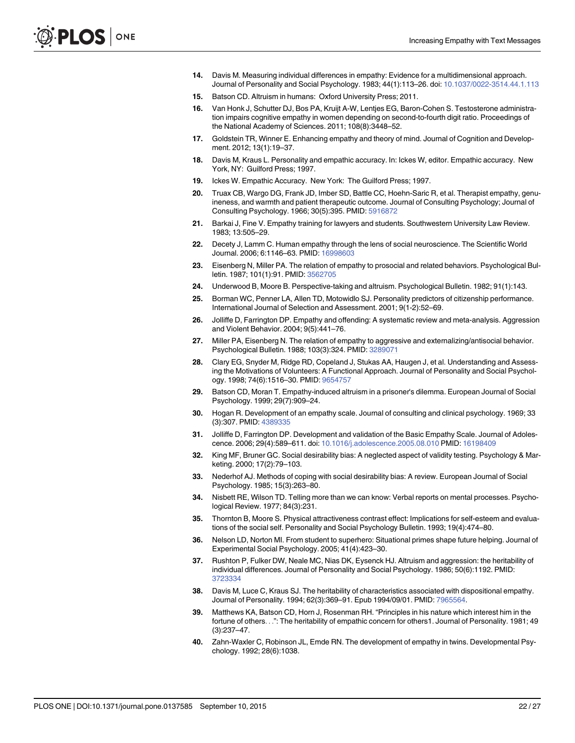- <span id="page-21-0"></span>[14.](#page-1-0) Davis M. Measuring individual differences in empathy: Evidence for a multidimensional approach. Journal of Personality and Social Psychology. 1983; 44(1):113–26. doi: [10.1037/0022-3514.44.1.113](http://dx.doi.org/10.1037/0022-3514.44.1.113)
- [15.](#page-1-0) Batson CD. Altruism in humans: Oxford University Press; 2011.
- [16.](#page-1-0) Van Honk J, Schutter DJ, Bos PA, Kruijt A-W, Lentjes EG, Baron-Cohen S. Testosterone administration impairs cognitive empathy in women depending on second-to-fourth digit ratio. Proceedings of the National Academy of Sciences. 2011; 108(8):3448–52.
- 17. Goldstein TR, Winner E. Enhancing empathy and theory of mind. Journal of Cognition and Development. 2012; 13(1):19–37.
- 18. Davis M, Kraus L. Personality and empathic accuracy. In: Ickes W, editor. Empathic accuracy. New York, NY: Guilford Press; 1997.
- [19.](#page-1-0) Ickes W. Empathic Accuracy. New York: The Guilford Press; 1997.
- [20.](#page-1-0) Truax CB, Wargo DG, Frank JD, Imber SD, Battle CC, Hoehn-Saric R, et al. Therapist empathy, genuineness, and warmth and patient therapeutic outcome. Journal of Consulting Psychology; Journal of Consulting Psychology. 1966; 30(5):395. PMID: [5916872](http://www.ncbi.nlm.nih.gov/pubmed/5916872)
- [21.](#page-1-0) Barkai J, Fine V. Empathy training for lawyers and students. Southwestern University Law Review. 1983; 13:505–29.
- [22.](#page-1-0) Decety J, Lamm C. Human empathy through the lens of social neuroscience. The Scientific World Journal. 2006; 6:1146–63. PMID: [16998603](http://www.ncbi.nlm.nih.gov/pubmed/16998603)
- [23.](#page-1-0) Eisenberg N, Miller PA. The relation of empathy to prosocial and related behaviors. Psychological Bul-letin. 1987; 101(1):91. PMID: [3562705](http://www.ncbi.nlm.nih.gov/pubmed/3562705)
- [24.](#page-2-0) Underwood B, Moore B. Perspective-taking and altruism. Psychological Bulletin. 1982; 91(1):143.
- [25.](#page-1-0) Borman WC, Penner LA, Allen TD, Motowidlo SJ. Personality predictors of citizenship performance. International Journal of Selection and Assessment. 2001; 9(1‐2):52–69.
- [26.](#page-1-0) Jolliffe D, Farrington DP. Empathy and offending: A systematic review and meta-analysis. Aggression and Violent Behavior. 2004; 9(5):441–76.
- [27.](#page-1-0) Miller PA, Eisenberg N. The relation of empathy to aggressive and externalizing/antisocial behavior. Psychological Bulletin. 1988; 103(3):324. PMID: [3289071](http://www.ncbi.nlm.nih.gov/pubmed/3289071)
- [28.](#page-1-0) Clary EG, Snyder M, Ridge RD, Copeland J, Stukas AA, Haugen J, et al. Understanding and Assessing the Motivations of Volunteers: A Functional Approach. Journal of Personality and Social Psychol-ogy. 1998; 74(6):1516-30. PMID: [9654757](http://www.ncbi.nlm.nih.gov/pubmed/9654757)
- [29.](#page-1-0) Batson CD, Moran T. Empathy-induced altruism in a prisoner's dilemma. European Journal of Social Psychology. 1999; 29(7):909–24.
- [30.](#page-2-0) Hogan R. Development of an empathy scale. Journal of consulting and clinical psychology. 1969; 33 (3):307. PMID: [4389335](http://www.ncbi.nlm.nih.gov/pubmed/4389335)
- [31.](#page-2-0) Jolliffe D, Farrington DP. Development and validation of the Basic Empathy Scale. Journal of Adolescence. 2006; 29(4):589–611. doi: [10.1016/j.adolescence.2005.08.010](http://dx.doi.org/10.1016/j.adolescence.2005.08.010) PMID: [16198409](http://www.ncbi.nlm.nih.gov/pubmed/16198409)
- [32.](#page-2-0) King MF, Bruner GC. Social desirability bias: A neglected aspect of validity testing. Psychology & Marketing. 2000; 17(2):79–103.
- 33. Nederhof AJ. Methods of coping with social desirability bias: A review. European Journal of Social Psychology. 1985; 15(3):263–80.
- [34.](#page-2-0) Nisbett RE, Wilson TD. Telling more than we can know: Verbal reports on mental processes. Psychological Review. 1977; 84(3):231.
- [35.](#page-2-0) Thornton B, Moore S. Physical attractiveness contrast effect: Implications for self-esteem and evaluations of the social self. Personality and Social Psychology Bulletin. 1993; 19(4):474–80.
- [36.](#page-2-0) Nelson LD, Norton MI. From student to superhero: Situational primes shape future helping. Journal of Experimental Social Psychology. 2005; 41(4):423–30.
- [37.](#page-2-0) Rushton P, Fulker DW, Neale MC, Nias DK, Eysenck HJ. Altruism and aggression: the heritability of individual differences. Journal of Personality and Social Psychology. 1986; 50(6):1192. PMID: [3723334](http://www.ncbi.nlm.nih.gov/pubmed/3723334)
- 38. Davis M, Luce C, Kraus SJ. The heritability of characteristics associated with dispositional empathy. Journal of Personality. 1994; 62(3):369–91. Epub 1994/09/01. PMID: [7965564.](http://www.ncbi.nlm.nih.gov/pubmed/7965564)
- 39. Matthews KA, Batson CD, Horn J, Rosenman RH. "Principles in his nature which interest him in the fortune of others...": The heritability of empathic concern for others1. Journal of Personality. 1981; 49 (3):237–47.
- [40.](#page-2-0) Zahn-Waxler C, Robinson JL, Emde RN. The development of empathy in twins. Developmental Psychology. 1992; 28(6):1038.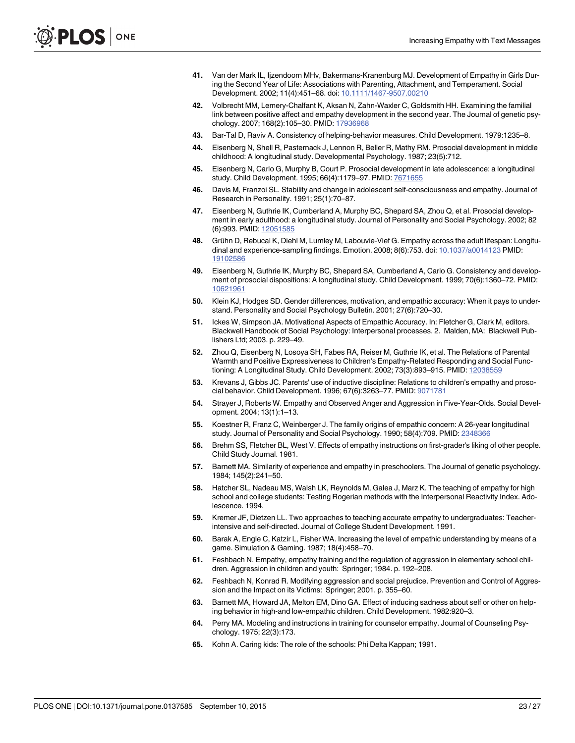- <span id="page-22-0"></span>[41.](#page-2-0) Van der Mark IL, Ijzendoorn MHv, Bakermans-Kranenburg MJ. Development of Empathy in Girls During the Second Year of Life: Associations with Parenting, Attachment, and Temperament. Social Development. 2002; 11(4):451–68. doi: [10.1111/1467-9507.00210](http://dx.doi.org/10.1111/1467-9507.00210)
- 42. Volbrecht MM, Lemery-Chalfant K, Aksan N, Zahn-Waxler C, Goldsmith HH. Examining the familial link between positive affect and empathy development in the second year. The Journal of genetic psychology. 2007; 168(2):105–30. PMID: [17936968](http://www.ncbi.nlm.nih.gov/pubmed/17936968)
- 43. Bar-Tal D, Raviv A. Consistency of helping-behavior measures. Child Development. 1979:1235–8.
- 44. Eisenberg N, Shell R, Pasternack J, Lennon R, Beller R, Mathy RM. Prosocial development in middle childhood: A longitudinal study. Developmental Psychology. 1987; 23(5):712.
- 45. Eisenberg N, Carlo G, Murphy B, Court P. Prosocial development in late adolescence: a longitudinal study. Child Development. 1995; 66(4):1179–97. PMID: [7671655](http://www.ncbi.nlm.nih.gov/pubmed/7671655)
- 46. Davis M, Franzoi SL. Stability and change in adolescent self-consciousness and empathy. Journal of Research in Personality. 1991; 25(1):70–87.
- 47. Eisenberg N, Guthrie IK, Cumberland A, Murphy BC, Shepard SA, Zhou Q, et al. Prosocial development in early adulthood: a longitudinal study. Journal of Personality and Social Psychology. 2002; 82 (6):993. PMID: [12051585](http://www.ncbi.nlm.nih.gov/pubmed/12051585)
- [48.](#page-2-0) Grühn D, Rebucal K, Diehl M, Lumley M, Labouvie-Vief G. Empathy across the adult lifespan: Longitudinal and experience-sampling findings. Emotion. 2008; 8(6):753. doi: [10.1037/a0014123](http://dx.doi.org/10.1037/a0014123) PMID: [19102586](http://www.ncbi.nlm.nih.gov/pubmed/19102586)
- [49.](#page-2-0) Eisenberg N, Guthrie IK, Murphy BC, Shepard SA, Cumberland A, Carlo G. Consistency and development of prosocial dispositions: A longitudinal study. Child Development. 1999; 70(6):1360–72. PMID: [10621961](http://www.ncbi.nlm.nih.gov/pubmed/10621961)
- [50.](#page-2-0) Klein KJ, Hodges SD. Gender differences, motivation, and empathic accuracy: When it pays to understand. Personality and Social Psychology Bulletin. 2001; 27(6):720–30.
- [51.](#page-2-0) Ickes W, Simpson JA. Motivational Aspects of Empathic Accuracy. In: Fletcher G, Clark M, editors. Blackwell Handbook of Social Psychology: Interpersonal processes. 2. Malden, MA: Blackwell Publishers Ltd; 2003. p. 229–49.
- [52.](#page-2-0) Zhou Q, Eisenberg N, Losoya SH, Fabes RA, Reiser M, Guthrie IK, et al. The Relations of Parental Warmth and Positive Expressiveness to Children's Empathy-Related Responding and Social Functioning: A Longitudinal Study. Child Development. 2002; 73(3):893–915. PMID: [12038559](http://www.ncbi.nlm.nih.gov/pubmed/12038559)
- 53. Krevans J, Gibbs JC. Parents' use of inductive discipline: Relations to children's empathy and prosocial behavior. Child Development. 1996; 67(6):3263–77. PMID: [9071781](http://www.ncbi.nlm.nih.gov/pubmed/9071781)
- 54. Strayer J, Roberts W. Empathy and Observed Anger and Aggression in Five-Year-Olds. Social Development. 2004; 13(1):1–13.
- [55.](#page-2-0) Koestner R, Franz C, Weinberger J. The family origins of empathic concern: A 26-year longitudinal study. Journal of Personality and Social Psychology. 1990; 58(4):709. PMID: [2348366](http://www.ncbi.nlm.nih.gov/pubmed/2348366)
- [56.](#page-2-0) Brehm SS, Fletcher BL, West V. Effects of empathy instructions on first-grader's liking of other people. Child Study Journal. 1981.
- [57.](#page-2-0) Barnett MA. Similarity of experience and empathy in preschoolers. The Journal of genetic psychology. 1984; 145(2):241–50.
- [58.](#page-2-0) Hatcher SL, Nadeau MS, Walsh LK, Reynolds M, Galea J, Marz K. The teaching of empathy for high school and college students: Testing Rogerian methods with the Interpersonal Reactivity Index. Adolescence. 1994.
- [59.](#page-2-0) Kremer JF, Dietzen LL. Two approaches to teaching accurate empathy to undergraduates: Teacherintensive and self-directed. Journal of College Student Development. 1991.
- [60.](#page-2-0) Barak A, Engle C, Katzir L, Fisher WA. Increasing the level of empathic understanding by means of a game. Simulation & Gaming. 1987; 18(4):458–70.
- 61. Feshbach N. Empathy, empathy training and the regulation of aggression in elementary school children. Aggression in children and youth: Springer; 1984. p. 192–208.
- [62.](#page-2-0) Feshbach N, Konrad R. Modifying aggression and social prejudice. Prevention and Control of Aggression and the Impact on its Victims: Springer; 2001. p. 355–60.
- [63.](#page-2-0) Barnett MA, Howard JA, Melton EM, Dino GA. Effect of inducing sadness about self or other on helping behavior in high-and low-empathic children. Child Development. 1982:920–3.
- [64.](#page-2-0) Perry MA. Modeling and instructions in training for counselor empathy. Journal of Counseling Psychology. 1975; 22(3):173.
- [65.](#page-2-0) Kohn A. Caring kids: The role of the schools: Phi Delta Kappan; 1991.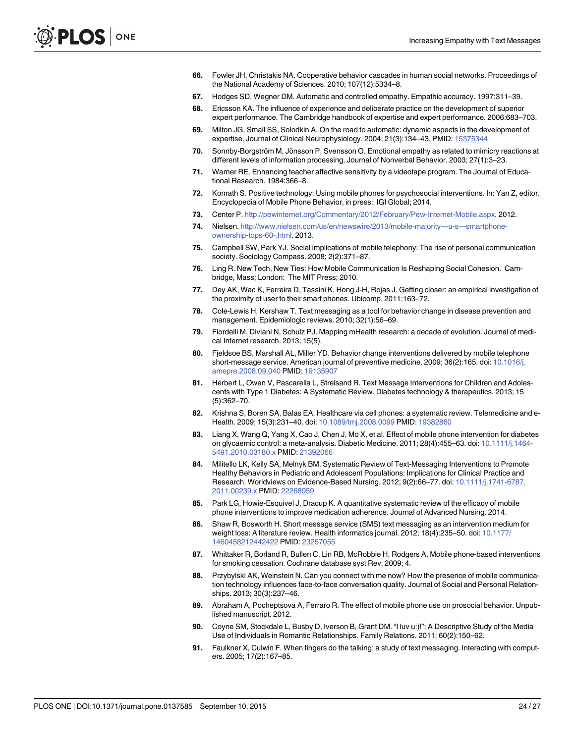- <span id="page-23-0"></span>[66.](#page-2-0) Fowler JH, Christakis NA. Cooperative behavior cascades in human social networks. Proceedings of the National Academy of Sciences. 2010; 107(12):5334–8.
- [67.](#page-2-0) Hodges SD, Wegner DM. Automatic and controlled empathy. Empathic accuracy. 1997:311–39.
- [68.](#page-3-0) Ericsson KA. The influence of experience and deliberate practice on the development of superior expert performance. The Cambridge handbook of expertise and expert performance. 2006:683–703.
- [69.](#page-3-0) Milton JG, Small SS, Solodkin A. On the road to automatic: dynamic aspects in the development of expertise. Journal of Clinical Neurophysiology. 2004; 21(3):134–43. PMID: [15375344](http://www.ncbi.nlm.nih.gov/pubmed/15375344)
- [70.](#page-3-0) Sonnby-Borgström M, Jönsson P, Svensson O. Emotional empathy as related to mimicry reactions at different levels of information processing. Journal of Nonverbal Behavior. 2003; 27(1):3–23.
- [71.](#page-3-0) Warner RE. Enhancing teacher affective sensitivity by a videotape program. The Journal of Educational Research. 1984:366–8.
- [72.](#page-3-0) Konrath S. Positive technology: Using mobile phones for psychosocial interventions. In: Yan Z, editor. Encyclopedia of Mobile Phone Behavior, in press: IGI Global; 2014.
- [73.](#page-3-0) Center P. <http://pewinternet.org/Commentary/2012/February/Pew-Internet-Mobile.aspx>. 2012.
- [74.](#page-3-0) Nielsen. [http://www.nielsen.com/us/en/newswire/2013/mobile-majority](http://www.nielsen.com/us/en/newswire/2013/mobile-majority—u-s—smartphone-ownership-tops-60-.html)—u-s—smartphone[ownership-tops-60-.html.](http://www.nielsen.com/us/en/newswire/2013/mobile-majority—u-s—smartphone-ownership-tops-60-.html) 2013.
- [75.](#page-3-0) Campbell SW, Park YJ. Social implications of mobile telephony: The rise of personal communication society. Sociology Compass. 2008; 2(2):371–87.
- [76.](#page-3-0) Ling R. New Tech, New Ties: How Mobile Communication Is Reshaping Social Cohesion. Cambridge, Mass; London: The MIT Press; 2010.
- [77.](#page-3-0) Dey AK, Wac K, Ferreira D, Tassini K, Hong J-H, Rojas J. Getting closer: an empirical investigation of the proximity of user to their smart phones. Ubicomp. 2011:163–72.
- [78.](#page-3-0) Cole-Lewis H, Kershaw T. Text messaging as a tool for behavior change in disease prevention and management. Epidemiologic reviews. 2010; 32(1):56–69.
- 79. Fiordelli M, Diviani N, Schulz PJ. Mapping mHealth research: a decade of evolution. Journal of medical Internet research. 2013; 15(5).
- 80. Fjeldsoe BS, Marshall AL, Miller YD. Behavior change interventions delivered by mobile telephone short-message service. American journal of preventive medicine. 2009; 36(2):165. doi: [10.1016/j.](http://dx.doi.org/10.1016/j.amepre.2008.09.040) [amepre.2008.09.040](http://dx.doi.org/10.1016/j.amepre.2008.09.040) PMID: [19135907](http://www.ncbi.nlm.nih.gov/pubmed/19135907)
- 81. Herbert L, Owen V, Pascarella L, Streisand R. Text Message Interventions for Children and Adolescents with Type 1 Diabetes: A Systematic Review. Diabetes technology & therapeutics. 2013; 15 (5):362–70.
- 82. Krishna S, Boren SA, Balas EA. Healthcare via cell phones: a systematic review. Telemedicine and e-Health. 2009; 15(3):231–40. doi: [10.1089/tmj.2008.0099](http://dx.doi.org/10.1089/tmj.2008.0099) PMID: [19382860](http://www.ncbi.nlm.nih.gov/pubmed/19382860)
- 83. Liang X, Wang Q, Yang X, Cao J, Chen J, Mo X, et al. Effect of mobile phone intervention for diabetes on glycaemic control: a meta-analysis. Diabetic Medicine. 2011; 28(4):455–63. doi: [10.1111/j.1464-](http://dx.doi.org/10.1111/j.1464-5491.2010.03180.x) [5491.2010.03180.x](http://dx.doi.org/10.1111/j.1464-5491.2010.03180.x) PMID: [21392066](http://www.ncbi.nlm.nih.gov/pubmed/21392066)
- 84. Militello LK, Kelly SA, Melnyk BM. Systematic Review of Text-Messaging Interventions to Promote Healthy Behaviors in Pediatric and Adolescent Populations: Implications for Clinical Practice and Research. Worldviews on Evidence-Based Nursing. 2012; 9(2):66–77. doi: [10.1111/j.1741-6787.](http://dx.doi.org/10.1111/j.1741-6787.2011.00239.x) [2011.00239.x](http://dx.doi.org/10.1111/j.1741-6787.2011.00239.x) PMID: [22268959](http://www.ncbi.nlm.nih.gov/pubmed/22268959)
- 85. Park LG, Howie-Esquivel J, Dracup K. A quantitative systematic review of the efficacy of mobile phone interventions to improve medication adherence. Journal of Advanced Nursing. 2014.
- 86. Shaw R, Bosworth H. Short message service (SMS) text messaging as an intervention medium for weight loss: A literature review. Health informatics journal. 2012; 18(4):235–50. doi: [10.1177/](http://dx.doi.org/10.1177/1460458212442422) [1460458212442422](http://dx.doi.org/10.1177/1460458212442422) PMID: [23257055](http://www.ncbi.nlm.nih.gov/pubmed/23257055)
- [87.](#page-3-0) Whittaker R, Borland R, Bullen C, Lin RB, McRobbie H, Rodgers A. Mobile phone-based interventions for smoking cessation. Cochrane database syst Rev. 2009; 4.
- [88.](#page-3-0) Przybylski AK, Weinstein N. Can you connect with me now? How the presence of mobile communication technology influences face-to-face conversation quality. Journal of Social and Personal Relationships. 2013; 30(3):237–46.
- [89.](#page-3-0) Abraham A, Pocheptsova A, Ferraro R. The effect of mobile phone use on prosocial behavior. Unpublished manuscript. 2012.
- [90.](#page-3-0) Coyne SM, Stockdale L, Busby D, Iverson B, Grant DM. "I luv u:)!": A Descriptive Study of the Media Use of Individuals in Romantic Relationships. Family Relations. 2011; 60(2):150–62.
- 91. Faulkner X, Culwin F. When fingers do the talking: a study of text messaging. Interacting with computers. 2005; 17(2):167–85.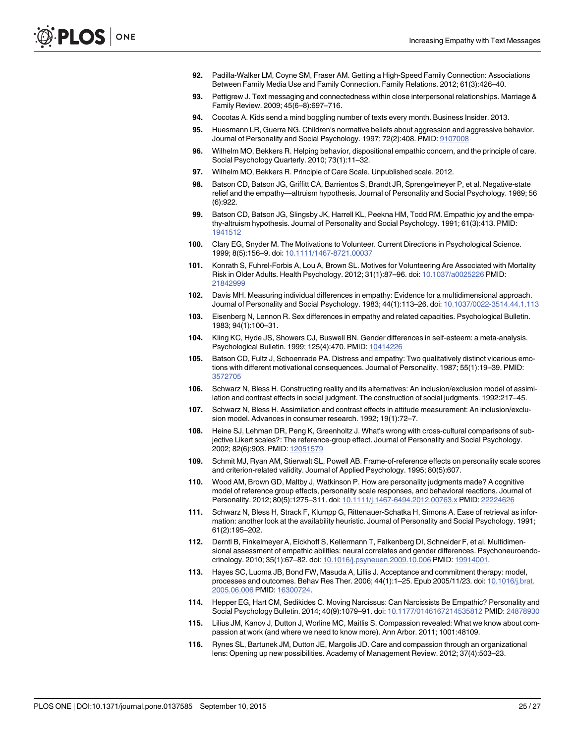- <span id="page-24-0"></span>92. Padilla-Walker LM, Coyne SM, Fraser AM. Getting a High-Speed Family Connection: Associations Between Family Media Use and Family Connection. Family Relations. 2012; 61(3):426–40.
- [93.](#page-3-0) Pettigrew J. Text messaging and connectedness within close interpersonal relationships. Marriage & Family Review. 2009; 45(6–8):697–716.
- [94.](#page-3-0) Cocotas A. Kids send a mind boggling number of texts every month. Business Insider. 2013.
- [95.](#page-7-0) Huesmann LR, Guerra NG. Children's normative beliefs about aggression and aggressive behavior. Journal of Personality and Social Psychology. 1997; 72(2):408. PMID: [9107008](http://www.ncbi.nlm.nih.gov/pubmed/9107008)
- [96.](#page-7-0) Wilhelm MO, Bekkers R. Helping behavior, dispositional empathic concern, and the principle of care. Social Psychology Quarterly. 2010; 73(1):11–32.
- [97.](#page-7-0) Wilhelm MO, Bekkers R. Principle of Care Scale. Unpublished scale. 2012.
- [98.](#page-8-0) Batson CD, Batson JG, Griffitt CA, Barrientos S, Brandt JR, Sprengelmeyer P, et al. Negative-state relief and the empathy—altruism hypothesis. Journal of Personality and Social Psychology. 1989; 56 (6):922.
- [99.](#page-8-0) Batson CD, Batson JG, Slingsby JK, Harrell KL, Peekna HM, Todd RM. Empathic joy and the empathy-altruism hypothesis. Journal of Personality and Social Psychology. 1991; 61(3):413. PMID: [1941512](http://www.ncbi.nlm.nih.gov/pubmed/1941512)
- [100.](#page-9-0) Clary EG, Snyder M. The Motivations to Volunteer. Current Directions in Psychological Science. 1999; 8(5):156–9. doi: [10.1111/1467-8721.00037](http://dx.doi.org/10.1111/1467-8721.00037)
- [101.](#page-9-0) Konrath S, Fuhrel-Forbis A, Lou A, Brown SL. Motives for Volunteering Are Associated with Mortality Risk in Older Adults. Health Psychology. 2012; 31(1):87-96. doi: [10.1037/a0025226](http://dx.doi.org/10.1037/a0025226) PMID: [21842999](http://www.ncbi.nlm.nih.gov/pubmed/21842999)
- [102.](#page-10-0) Davis MH. Measuring individual differences in empathy: Evidence for a multidimensional approach. Journal of Personality and Social Psychology. 1983; 44(1):113–26. doi: [10.1037/0022-3514.44.1.113](http://dx.doi.org/10.1037/0022-3514.44.1.113)
- [103.](#page-11-0) Eisenberg N, Lennon R. Sex differences in empathy and related capacities. Psychological Bulletin. 1983; 94(1):100–31.
- [104.](#page-11-0) Kling KC, Hyde JS, Showers CJ, Buswell BN. Gender differences in self-esteem: a meta-analysis. Psychological Bulletin. 1999; 125(4):470. PMID: [10414226](http://www.ncbi.nlm.nih.gov/pubmed/10414226)
- [105.](#page-15-0) Batson CD, Fultz J, Schoenrade PA. Distress and empathy: Two qualitatively distinct vicarious emotions with different motivational consequences. Journal of Personality. 1987; 55(1):19–39. PMID: [3572705](http://www.ncbi.nlm.nih.gov/pubmed/3572705)
- [106.](#page-15-0) Schwarz N, Bless H. Constructing reality and its alternatives: An inclusion/exclusion model of assimilation and contrast effects in social judgment. The construction of social judgments. 1992:217–45.
- [107.](#page-15-0) Schwarz N, Bless H. Assimilation and contrast effects in attitude measurement: An inclusion/exclusion model. Advances in consumer research. 1992; 19(1):72–7.
- [108.](#page-15-0) Heine SJ, Lehman DR, Peng K, Greenholtz J. What's wrong with cross-cultural comparisons of subjective Likert scales?: The reference-group effect. Journal of Personality and Social Psychology. 2002; 82(6):903. PMID: [12051579](http://www.ncbi.nlm.nih.gov/pubmed/12051579)
- 109. Schmit MJ, Ryan AM, Stierwalt SL, Powell AB. Frame-of-reference effects on personality scale scores and criterion-related validity. Journal of Applied Psychology. 1995; 80(5):607.
- [110.](#page-15-0) Wood AM, Brown GD, Maltby J, Watkinson P. How are personality judgments made? A cognitive model of reference group effects, personality scale responses, and behavioral reactions. Journal of Personality. 2012; 80(5):1275-311. doi: [10.1111/j.1467-6494.2012.00763.x](http://dx.doi.org/10.1111/j.1467-6494.2012.00763.x) PMID: [22224626](http://www.ncbi.nlm.nih.gov/pubmed/22224626)
- [111.](#page-16-0) Schwarz N, Bless H, Strack F, Klumpp G, Rittenauer-Schatka H, Simons A. Ease of retrieval as information: another look at the availability heuristic. Journal of Personality and Social Psychology. 1991; 61(2):195–202.
- [112.](#page-16-0) Derntl B, Finkelmeyer A, Eickhoff S, Kellermann T, Falkenberg DI, Schneider F, et al. Multidimensional assessment of empathic abilities: neural correlates and gender differences. Psychoneuroendocrinology. 2010; 35(1):67–82. doi: [10.1016/j.psyneuen.2009.10.006](http://dx.doi.org/10.1016/j.psyneuen.2009.10.006) PMID: [19914001.](http://www.ncbi.nlm.nih.gov/pubmed/19914001)
- [113.](#page-17-0) Hayes SC, Luoma JB, Bond FW, Masuda A, Lillis J. Acceptance and commitment therapy: model, processes and outcomes. Behav Res Ther. 2006; 44(1):1–25. Epub 2005/11/23. doi: [10.1016/j.brat.](http://dx.doi.org/10.1016/j.brat.2005.06.006) [2005.06.006](http://dx.doi.org/10.1016/j.brat.2005.06.006) PMID: [16300724.](http://www.ncbi.nlm.nih.gov/pubmed/16300724)
- [114.](#page-17-0) Hepper EG, Hart CM, Sedikides C. Moving Narcissus: Can Narcissists Be Empathic? Personality and Social Psychology Bulletin. 2014; 40(9):1079–91. doi: [10.1177/0146167214535812](http://dx.doi.org/10.1177/0146167214535812) PMID: [24878930](http://www.ncbi.nlm.nih.gov/pubmed/24878930)
- [115.](#page-17-0) Lilius JM, Kanov J, Dutton J, Worline MC, Maitlis S. Compassion revealed: What we know about compassion at work (and where we need to know more). Ann Arbor. 2011; 1001:48109.
- 116. Rynes SL, Bartunek JM, Dutton JE, Margolis JD. Care and compassion through an organizational lens: Opening up new possibilities. Academy of Management Review. 2012; 37(4):503–23.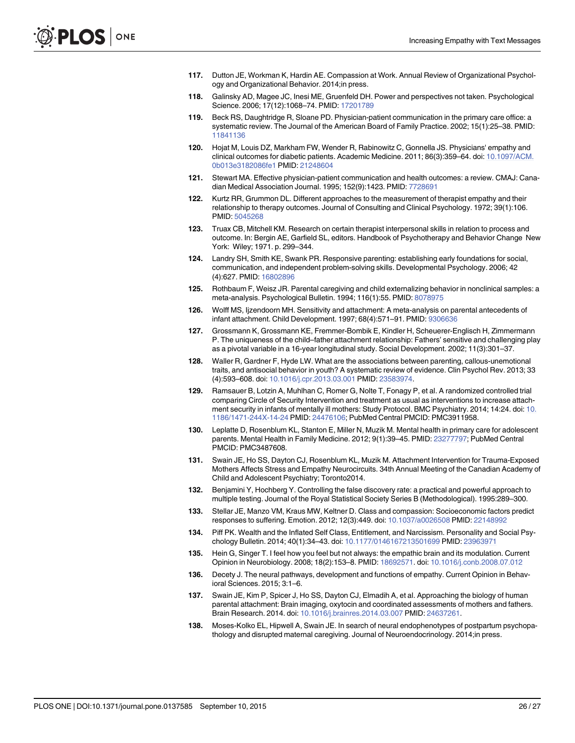- <span id="page-25-0"></span>[117.](#page-17-0) Dutton JE, Workman K, Hardin AE. Compassion at Work. Annual Review of Organizational Psychology and Organizational Behavior. 2014;in press.
- [118.](#page-17-0) Galinsky AD, Magee JC, Inesi ME, Gruenfeld DH. Power and perspectives not taken. Psychological Science. 2006; 17(12):1068–74. PMID: [17201789](http://www.ncbi.nlm.nih.gov/pubmed/17201789)
- [119.](#page-17-0) Beck RS, Daughtridge R, Sloane PD. Physician-patient communication in the primary care office: a systematic review. The Journal of the American Board of Family Practice. 2002; 15(1):25–38. PMID: [11841136](http://www.ncbi.nlm.nih.gov/pubmed/11841136)
- 120. Hojat M, Louis DZ, Markham FW, Wender R, Rabinowitz C, Gonnella JS. Physicians' empathy and clinical outcomes for diabetic patients. Academic Medicine. 2011; 86(3):359–64. doi: [10.1097/ACM.](http://dx.doi.org/10.1097/ACM.0b013e3182086fe1) [0b013e3182086fe1](http://dx.doi.org/10.1097/ACM.0b013e3182086fe1) PMID: [21248604](http://www.ncbi.nlm.nih.gov/pubmed/21248604)
- 121. Stewart MA. Effective physician-patient communication and health outcomes: a review. CMAJ: Canadian Medical Association Journal. 1995; 152(9):1423. PMID: [7728691](http://www.ncbi.nlm.nih.gov/pubmed/7728691)
- 122. Kurtz RR, Grummon DL, Different approaches to the measurement of therapist empathy and their relationship to therapy outcomes. Journal of Consulting and Clinical Psychology. 1972; 39(1):106. PMID: [5045268](http://www.ncbi.nlm.nih.gov/pubmed/5045268)
- [123.](#page-17-0) Truax CB, Mitchell KM. Research on certain therapist interpersonal skills in relation to process and outcome. In: Bergin AE, Garfield SL, editors. Handbook of Psychotherapy and Behavior Change New York: Wiley; 1971. p. 299–344.
- [124.](#page-17-0) Landry SH, Smith KE, Swank PR. Responsive parenting: establishing early foundations for social, communication, and independent problem-solving skills. Developmental Psychology. 2006; 42 (4):627. PMID: [16802896](http://www.ncbi.nlm.nih.gov/pubmed/16802896)
- 125. Rothbaum F, Weisz JR. Parental caregiving and child externalizing behavior in nonclinical samples: a meta-analysis. Psychological Bulletin. 1994; 116(1):55. PMID: [8078975](http://www.ncbi.nlm.nih.gov/pubmed/8078975)
- 126. Wolff MS, Ijzendoorn MH. Sensitivity and attachment: A meta-analysis on parental antecedents of infant attachment. Child Development. 1997; 68(4):571–91. PMID: [9306636](http://www.ncbi.nlm.nih.gov/pubmed/9306636)
- [127.](#page-17-0) Grossmann K, Grossmann KE, Fremmer-Bombik E, Kindler H, Scheuerer-Englisch H, Zimmermann P. The uniqueness of the child–father attachment relationship: Fathers' sensitive and challenging play as a pivotal variable in a 16-year longitudinal study. Social Development. 2002; 11(3):301–37.
- [128.](#page-17-0) Waller R, Gardner F, Hyde LW. What are the associations between parenting, callous-unemotional traits, and antisocial behavior in youth? A systematic review of evidence. Clin Psychol Rev. 2013; 33 (4):593–608. doi: [10.1016/j.cpr.2013.03.001](http://dx.doi.org/10.1016/j.cpr.2013.03.001) PMID: [23583974](http://www.ncbi.nlm.nih.gov/pubmed/23583974).
- [129.](#page-17-0) Ramsauer B, Lotzin A, Muhlhan C, Romer G, Nolte T, Fonagy P, et al. A randomized controlled trial comparing Circle of Security Intervention and treatment as usual as interventions to increase attachment security in infants of mentally ill mothers: Study Protocol. BMC Psychiatry. 2014; 14:24. doi: [10.](http://dx.doi.org/10.1186/1471-244X-14-24) [1186/1471-244X-14-24](http://dx.doi.org/10.1186/1471-244X-14-24) PMID: [24476106;](http://www.ncbi.nlm.nih.gov/pubmed/24476106) PubMed Central PMCID: PMC3911958.
- 130. Leplatte D, Rosenblum KL, Stanton E, Miller N, Muzik M. Mental health in primary care for adolescent parents. Mental Health in Family Medicine. 2012; 9(1):39–45. PMID: [23277797](http://www.ncbi.nlm.nih.gov/pubmed/23277797); PubMed Central PMCID: PMC3487608.
- [131.](#page-17-0) Swain JE, Ho SS, Dayton CJ, Rosenblum KL, Muzik M. Attachment Intervention for Trauma-Exposed Mothers Affects Stress and Empathy Neurocircuits. 34th Annual Meeting of the Canadian Academy of Child and Adolescent Psychiatry; Toronto2014.
- [132.](#page-18-0) Benjamini Y, Hochberg Y. Controlling the false discovery rate: a practical and powerful approach to multiple testing. Journal of the Royal Statistical Society Series B (Methodological). 1995:289–300.
- [133.](#page-18-0) Stellar JE, Manzo VM, Kraus MW, Keltner D. Class and compassion: Socioeconomic factors predict responses to suffering. Emotion. 2012; 12(3):449. doi: [10.1037/a0026508](http://dx.doi.org/10.1037/a0026508) PMID: [22148992](http://www.ncbi.nlm.nih.gov/pubmed/22148992)
- [134.](#page-18-0) Piff PK. Wealth and the Inflated Self Class, Entitlement, and Narcissism. Personality and Social Psychology Bulletin. 2014; 40(1):34–43. doi: [10.1177/0146167213501699](http://dx.doi.org/10.1177/0146167213501699) PMID: [23963971](http://www.ncbi.nlm.nih.gov/pubmed/23963971)
- [135.](#page-19-0) Hein G, Singer T. I feel how you feel but not always: the empathic brain and its modulation. Current Opinion in Neurobiology. 2008; 18(2):153–8. PMID: [18692571](http://www.ncbi.nlm.nih.gov/pubmed/18692571). doi: [10.1016/j.conb.2008.07.012](http://dx.doi.org/10.1016/j.conb.2008.07.012)
- [136.](#page-19-0) Decety J. The neural pathways, development and functions of empathy. Current Opinion in Behavioral Sciences. 2015; 3:1–6.
- [137.](#page-19-0) Swain JE, Kim P, Spicer J, Ho SS, Dayton CJ, Elmadih A, et al. Approaching the biology of human parental attachment: Brain imaging, oxytocin and coordinated assessments of mothers and fathers. Brain Research. 2014. doi: [10.1016/j.brainres.2014.03.007](http://dx.doi.org/10.1016/j.brainres.2014.03.007) PMID: [24637261.](http://www.ncbi.nlm.nih.gov/pubmed/24637261)
- [138.](#page-19-0) Moses-Kolko EL, Hipwell A, Swain JE. In search of neural endophenotypes of postpartum psychopathology and disrupted maternal caregiving. Journal of Neuroendocrinology. 2014;in press.